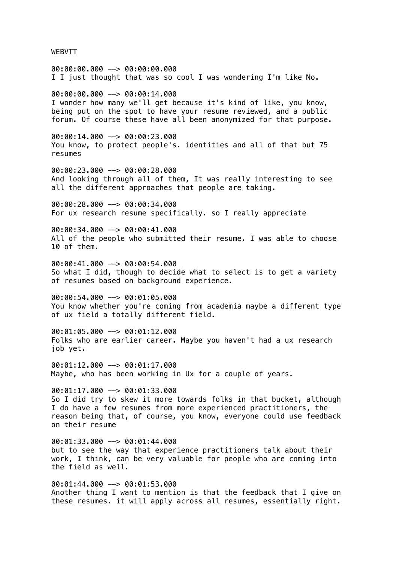WEBVTT

00:00:00.000 --> 00:00:00.000 I I just thought that was so cool I was wondering I'm like No.

00:00:00.000 --> 00:00:14.000 I wonder how many we'll get because it's kind of like, you know, being put on the spot to have your resume reviewed, and a public forum. Of course these have all been anonymized for that purpose.

00:00:14.000 --> 00:00:23.000 You know, to protect people's. identities and all of that but 75 resumes

00:00:23.000 --> 00:00:28.000 And looking through all of them, It was really interesting to see all the different approaches that people are taking.

00:00:28.000 --> 00:00:34.000 For ux research resume specifically. so I really appreciate

00:00:34.000 --> 00:00:41.000 All of the people who submitted their resume. I was able to choose 10 of them.

00:00:41.000 --> 00:00:54.000 So what I did, though to decide what to select is to get a variety of resumes based on background experience.

00:00:54.000 --> 00:01:05.000 You know whether you're coming from academia maybe a different type of ux field a totally different field.

00:01:05.000 --> 00:01:12.000 Folks who are earlier career. Maybe you haven't had a ux research job yet.

00:01:12.000 --> 00:01:17.000 Maybe, who has been working in Ux for a couple of years.

 $00:01:17.000$  -->  $00:01:33.000$ So I did try to skew it more towards folks in that bucket, although I do have a few resumes from more experienced practitioners, the reason being that, of course, you know, everyone could use feedback on their resume

00:01:33.000 --> 00:01:44.000 but to see the way that experience practitioners talk about their work, I think, can be very valuable for people who are coming into the field as well.

00:01:44.000 --> 00:01:53.000 Another thing I want to mention is that the feedback that I give on these resumes. it will apply across all resumes, essentially right.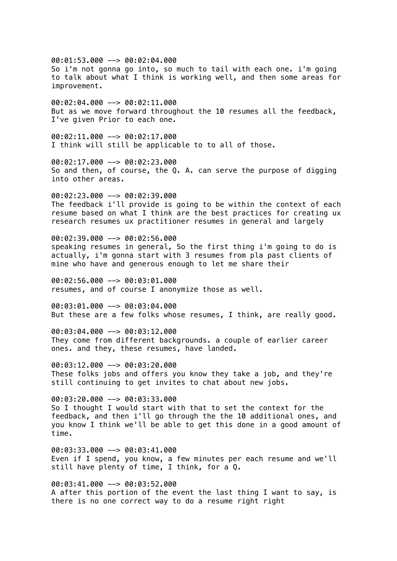00:01:53.000 --> 00:02:04.000 So i'm not gonna go into, so much to tail with each one. i'm going to talk about what I think is working well, and then some areas for improvement. 00:02:04.000 --> 00:02:11.000 But as we move forward throughout the 10 resumes all the feedback, I've given Prior to each one.  $00:02:11.000$  -->  $00:02:17.000$ I think will still be applicable to to all of those. 00:02:17.000 --> 00:02:23.000 So and then, of course, the Q. A. can serve the purpose of digging into other areas.  $00:02:23.000$  -->  $00:02:39.000$ The feedback i'll provide is going to be within the context of each resume based on what I think are the best practices for creating ux research resumes ux practitioner resumes in general and largely 00:02:39.000 --> 00:02:56.000 speaking resumes in general, So the first thing i'm going to do is actually, i'm gonna start with 3 resumes from pla past clients of mine who have and generous enough to let me share their 00:02:56.000 --> 00:03:01.000 resumes, and of course I anonymize those as well. 00:03:01.000 --> 00:03:04.000 But these are a few folks whose resumes, I think, are really good. 00:03:04.000 --> 00:03:12.000 They come from different backgrounds. a couple of earlier career ones. and they, these resumes, have landed. 00:03:12.000 --> 00:03:20.000 These folks jobs and offers you know they take a job, and they're still continuing to get invites to chat about new jobs. 00:03:20.000 --> 00:03:33.000 So I thought I would start with that to set the context for the feedback, and then i'll go through the the 10 additional ones, and you know I think we'll be able to get this done in a good amount of time.  $00:03:33.000$  -->  $00:03:41.000$ Even if I spend, you know, a few minutes per each resume and we'll still have plenty of time, I think, for a Q.

00:03:41.000 --> 00:03:52.000 A after this portion of the event the last thing I want to say, is there is no one correct way to do a resume right right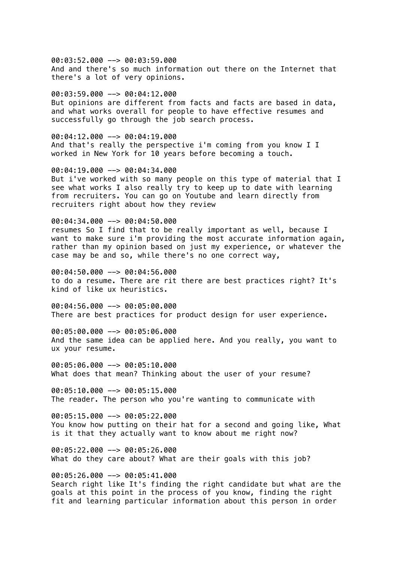00:03:52.000 --> 00:03:59.000 And and there's so much information out there on the Internet that there's a lot of very opinions.

00:03:59.000 --> 00:04:12.000 But opinions are different from facts and facts are based in data, and what works overall for people to have effective resumes and successfully go through the job search process.

 $00:04:12.000$  -->  $00:04:19.000$ And that's really the perspective i'm coming from you know I I worked in New York for 10 years before becoming a touch.

00:04:19.000 --> 00:04:34.000 But i've worked with so many people on this type of material that I see what works I also really try to keep up to date with learning from recruiters. You can go on Youtube and learn directly from recruiters right about how they review

00:04:34.000 --> 00:04:50.000 resumes So I find that to be really important as well, because I want to make sure i'm providing the most accurate information again, rather than my opinion based on just my experience, or whatever the case may be and so, while there's no one correct way,

00:04:50.000 --> 00:04:56.000 to do a resume. There are rit there are best practices right? It's kind of like ux heuristics.

00:04:56.000 --> 00:05:00.000 There are best practices for product design for user experience.

00:05:00.000 --> 00:05:06.000 And the same idea can be applied here. And you really, you want to ux your resume.

00:05:06.000 --> 00:05:10.000 What does that mean? Thinking about the user of your resume?

 $00:05:10.000$  -->  $00:05:15.000$ The reader. The person who you're wanting to communicate with

00:05:15.000 --> 00:05:22.000 You know how putting on their hat for a second and going like, What is it that they actually want to know about me right now?

 $00:05:22.000$  -->  $00:05:26.000$ What do they care about? What are their goals with this job?

00:05:26.000 --> 00:05:41.000 Search right like It's finding the right candidate but what are the goals at this point in the process of you know, finding the right fit and learning particular information about this person in order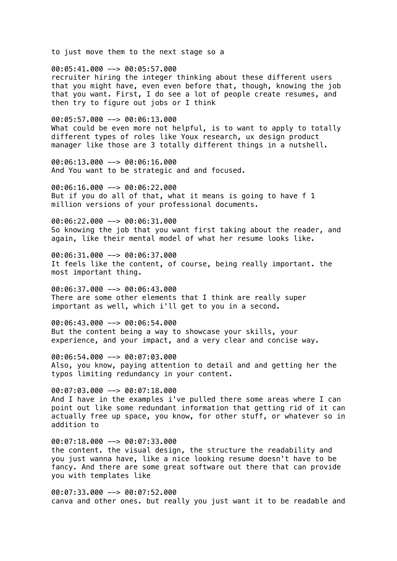to just move them to the next stage so a

00:05:41.000 --> 00:05:57.000 recruiter hiring the integer thinking about these different users that you might have, even even before that, though, knowing the job that you want. First, I do see a lot of people create resumes, and then try to figure out jobs or I think

00:05:57.000 --> 00:06:13.000

What could be even more not helpful, is to want to apply to totally different types of roles like Youx research, ux design product manager like those are 3 totally different things in a nutshell.

00:06:13.000 --> 00:06:16.000 And You want to be strategic and and focused.

00:06:16.000 --> 00:06:22.000 But if you do all of that, what it means is going to have f 1 million versions of your professional documents.

00:06:22.000 --> 00:06:31.000 So knowing the job that you want first taking about the reader, and again, like their mental model of what her resume looks like.

00:06:31.000 --> 00:06:37.000 It feels like the content, of course, being really important. the most important thing.

00:06:37.000 --> 00:06:43.000 There are some other elements that I think are really super important as well, which i'll get to you in a second.

00:06:43.000 --> 00:06:54.000 But the content being a way to showcase your skills, your experience, and your impact, and a very clear and concise way.

00:06:54.000 --> 00:07:03.000 Also, you know, paying attention to detail and and getting her the typos limiting redundancy in your content.

00:07:03.000 --> 00:07:18.000 And I have in the examples i've pulled there some areas where I can point out like some redundant information that getting rid of it can actually free up space, you know, for other stuff, or whatever so in addition to

00:07:18.000 --> 00:07:33.000 the content. the visual design, the structure the readability and you just wanna have, like a nice looking resume doesn't have to be fancy. And there are some great software out there that can provide you with templates like

00:07:33.000 --> 00:07:52.000 canva and other ones. but really you just want it to be readable and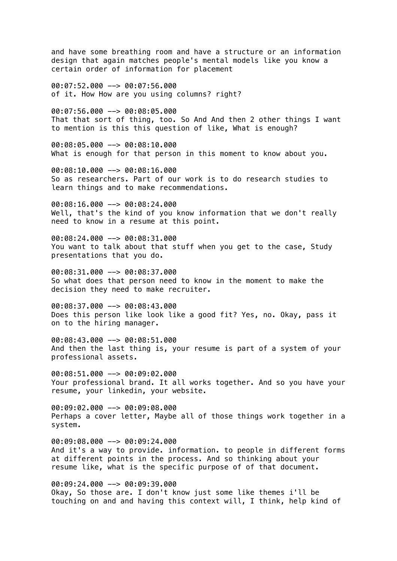and have some breathing room and have a structure or an information design that again matches people's mental models like you know a certain order of information for placement

00:07:52.000 --> 00:07:56.000 of it. How How are you using columns? right?

00:07:56.000 --> 00:08:05.000 That that sort of thing, too. So And And then 2 other things I want to mention is this this question of like, What is enough?

00:08:05.000 --> 00:08:10.000 What is enough for that person in this moment to know about you.

00:08:10.000 --> 00:08:16.000 So as researchers. Part of our work is to do research studies to learn things and to make recommendations.

00:08:16.000 --> 00:08:24.000 Well, that's the kind of you know information that we don't really need to know in a resume at this point.

00:08:24.000 --> 00:08:31.000 You want to talk about that stuff when you get to the case, Study presentations that you do.

00:08:31.000 --> 00:08:37.000 So what does that person need to know in the moment to make the decision they need to make recruiter.

00:08:37.000 --> 00:08:43.000 Does this person like look like a good fit? Yes, no. Okay, pass it on to the hiring manager.

00:08:43.000 --> 00:08:51.000 And then the last thing is, your resume is part of a system of your professional assets.

00:08:51.000 --> 00:09:02.000 Your professional brand. It all works together. And so you have your resume, your linkedin, your website.

00:09:02.000 --> 00:09:08.000 Perhaps a cover letter, Maybe all of those things work together in a system.

00:09:08.000 --> 00:09:24.000 And it's a way to provide. information. to people in different forms at different points in the process. And so thinking about your resume like, what is the specific purpose of of that document.

00:09:24.000 --> 00:09:39.000 Okay, So those are. I don't know just some like themes i'll be touching on and and having this context will, I think, help kind of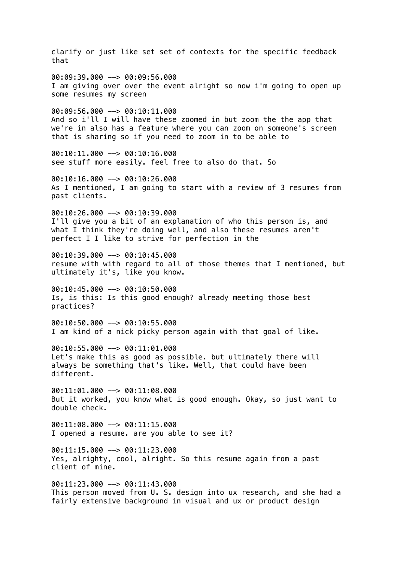clarify or just like set set of contexts for the specific feedback that 00:09:39.000 --> 00:09:56.000 I am giving over over the event alright so now i'm going to open up some resumes my screen 00:09:56.000 --> 00:10:11.000 And so i'll I will have these zoomed in but zoom the the app that we're in also has a feature where you can zoom on someone's screen that is sharing so if you need to zoom in to be able to 00:10:11.000 --> 00:10:16.000 see stuff more easily. feel free to also do that. So 00:10:16.000 --> 00:10:26.000 As I mentioned, I am going to start with a review of 3 resumes from past clients.  $00:10:26.000$  -->  $00:10:39.000$ I'll give you a bit of an explanation of who this person is, and what I think they're doing well, and also these resumes aren't perfect I I like to strive for perfection in the 00:10:39.000 --> 00:10:45.000 resume with with regard to all of those themes that I mentioned, but ultimately it's, like you know. 00:10:45.000 --> 00:10:50.000 Is, is this: Is this good enough? already meeting those best practices? 00:10:50.000 --> 00:10:55.000 I am kind of a nick picky person again with that goal of like. 00:10:55.000 --> 00:11:01.000 Let's make this as good as possible. but ultimately there will always be something that's like. Well, that could have been different.  $00:11:01.000$  -->  $00:11:08.000$ But it worked, you know what is good enough. Okay, so just want to double check. 00:11:08.000 --> 00:11:15.000 I opened a resume. are you able to see it?  $00:11:15.000$  -->  $00:11:23.000$ Yes, alrighty, cool, alright. So this resume again from a past client of mine. 00:11:23.000 --> 00:11:43.000 This person moved from U. S. design into ux research, and she had a fairly extensive background in visual and ux or product design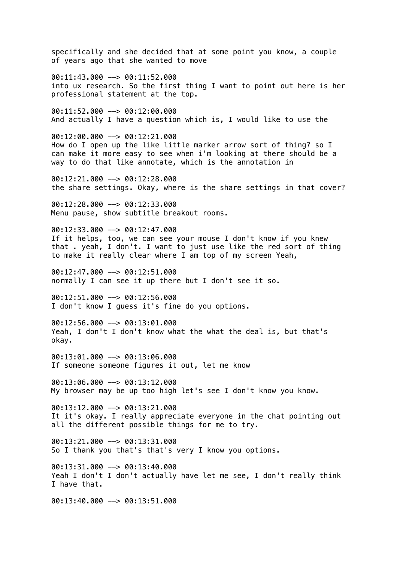specifically and she decided that at some point you know, a couple of years ago that she wanted to move

00:11:43.000 --> 00:11:52.000 into ux research. So the first thing I want to point out here is her professional statement at the top.

00:11:52.000 --> 00:12:00.000 And actually I have a question which is, I would like to use the

 $00:12:00.000$  -->  $00:12:21.000$ How do I open up the like little marker arrow sort of thing? so I can make it more easy to see when i'm looking at there should be a way to do that like annotate, which is the annotation in

00:12:21.000 --> 00:12:28.000 the share settings. Okay, where is the share settings in that cover?

00:12:28.000 --> 00:12:33.000 Menu pause, show subtitle breakout rooms.

00:12:33.000 --> 00:12:47.000 If it helps, too, we can see your mouse I don't know if you knew that . yeah, I don't. I want to just use like the red sort of thing to make it really clear where I am top of my screen Yeah,

00:12:47.000 --> 00:12:51.000 normally I can see it up there but I don't see it so.

00:12:51.000 --> 00:12:56.000 I don't know I guess it's fine do you options.

00:12:56.000 --> 00:13:01.000 Yeah, I don't I don't know what the what the deal is, but that's okay.

00:13:01.000 --> 00:13:06.000 If someone someone figures it out, let me know

00:13:06.000 --> 00:13:12.000 My browser may be up too high let's see I don't know you know.

 $00:13:12.000$  -->  $00:13:21.000$ It it's okay. I really appreciate everyone in the chat pointing out all the different possible things for me to try.

 $00:13:21.000$  -->  $00:13:31.000$ So I thank you that's that's very I know you options.

00:13:31.000 --> 00:13:40.000 Yeah I don't I don't actually have let me see, I don't really think I have that.

00:13:40.000 --> 00:13:51.000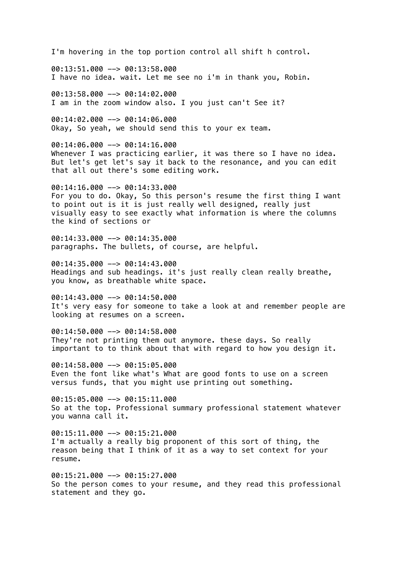I'm hovering in the top portion control all shift h control.

00:13:51.000 --> 00:13:58.000 I have no idea. wait. Let me see no i'm in thank you, Robin.

00:13:58.000 --> 00:14:02.000 I am in the zoom window also. I you just can't See it?

00:14:02.000 --> 00:14:06.000 Okay, So yeah, we should send this to your ex team.

00:14:06.000 --> 00:14:16.000 Whenever I was practicing earlier, it was there so I have no idea. But let's get let's say it back to the resonance, and you can edit that all out there's some editing work.

00:14:16.000 --> 00:14:33.000 For you to do. Okay, So this person's resume the first thing I want to point out is it is just really well designed, really just visually easy to see exactly what information is where the columns the kind of sections or

00:14:33.000 --> 00:14:35.000 paragraphs. The bullets, of course, are helpful.

00:14:35.000 --> 00:14:43.000 Headings and sub headings. it's just really clean really breathe, you know, as breathable white space.

00:14:43.000 --> 00:14:50.000 It's very easy for someone to take a look at and remember people are looking at resumes on a screen.

00:14:50.000 --> 00:14:58.000 They're not printing them out anymore. these days. So really important to to think about that with regard to how you design it.

00:14:58.000 --> 00:15:05.000 Even the font like what's What are good fonts to use on a screen versus funds, that you might use printing out something.

00:15:05.000 --> 00:15:11.000 So at the top. Professional summary professional statement whatever you wanna call it.

00:15:11.000 --> 00:15:21.000 I'm actually a really big proponent of this sort of thing, the reason being that I think of it as a way to set context for your resume.

00:15:21.000 --> 00:15:27.000 So the person comes to your resume, and they read this professional statement and they go.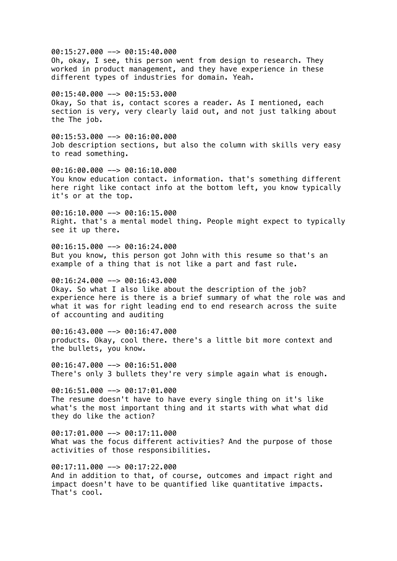00:15:27.000 --> 00:15:40.000 Oh, okay, I see, this person went from design to research. They worked in product management, and they have experience in these different types of industries for domain. Yeah. 00:15:40.000 --> 00:15:53.000 Okay, So that is, contact scores a reader. As I mentioned, each section is very, very clearly laid out, and not just talking about the The job. 00:15:53.000 --> 00:16:00.000 Job description sections, but also the column with skills very easy to read something. 00:16:00.000 --> 00:16:10.000 You know education contact. information. that's something different here right like contact info at the bottom left, you know typically it's or at the top.  $00:16:10.000$   $\rightarrow$  00:16:15.000 Right. that's a mental model thing. People might expect to typically see it up there. 00:16:15.000 --> 00:16:24.000 But you know, this person got John with this resume so that's an example of a thing that is not like a part and fast rule. 00:16:24.000 --> 00:16:43.000 Okay. So what I also like about the description of the job? experience here is there is a brief summary of what the role was and what it was for right leading end to end research across the suite of accounting and auditing 00:16:43.000 --> 00:16:47.000 products. Okay, cool there. there's a little bit more context and the bullets, you know. 00:16:47.000 --> 00:16:51.000 There's only 3 bullets they're very simple again what is enough.  $00:16:51.000$  -->  $00:17:01.000$ The resume doesn't have to have every single thing on it's like what's the most important thing and it starts with what what did they do like the action? 00:17:01.000 --> 00:17:11.000 What was the focus different activities? And the purpose of those activities of those responsibilities.  $00:17:11.000$  -->  $00:17:22.000$ And in addition to that, of course, outcomes and impact right and impact doesn't have to be quantified like quantitative impacts. That's cool.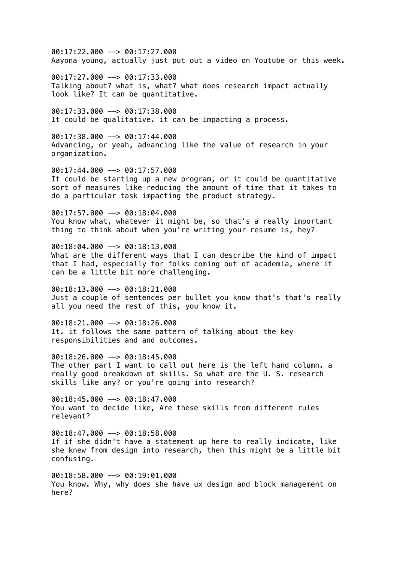00:17:22.000 --> 00:17:27.000 Aayona young, actually just put out a video on Youtube or this week.

00:17:27.000 --> 00:17:33.000 Talking about? what is, what? what does research impact actually look like? It can be quantitative.

00:17:33.000 --> 00:17:38.000 It could be qualitative. it can be impacting a process.

 $00:17:38.000$  -->  $00:17:44.000$ Advancing, or yeah, advancing like the value of research in your organization.

00:17:44.000 --> 00:17:57.000 It could be starting up a new program, or it could be quantitative sort of measures like reducing the amount of time that it takes to do a particular task impacting the product strategy.

 $00:17:57.000$  -->  $00:18:04.000$ You know what, whatever it might be, so that's a really important thing to think about when you're writing your resume is, hey?

00:18:04.000 --> 00:18:13.000 What are the different ways that I can describe the kind of impact that I had, especially for folks coming out of academia, where it can be a little bit more challenging.

00:18:13.000 --> 00:18:21.000 Just a couple of sentences per bullet you know that's that's really all you need the rest of this, you know it.

00:18:21.000 --> 00:18:26.000 It. it follows the same pattern of talking about the key responsibilities and and outcomes.

00:18:26.000 --> 00:18:45.000 The other part I want to call out here is the left hand column. a really good breakdown of skills. So what are the U. S. research skills like any? or you're going into research?

00:18:45.000 --> 00:18:47.000 You want to decide like, Are these skills from different rules relevant?

00:18:47.000 --> 00:18:58.000 If if she didn't have a statement up here to really indicate, like she knew from design into research, then this might be a little bit confusing.

00:18:58.000 --> 00:19:01.000 You know. Why, why does she have ux design and block management on here?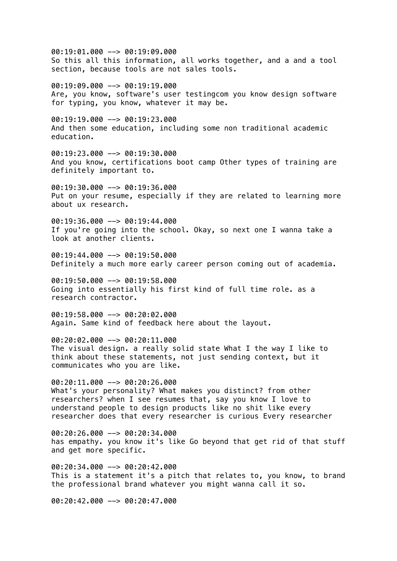00:19:01.000 --> 00:19:09.000 So this all this information, all works together, and a and a tool section, because tools are not sales tools.

00:19:09.000 --> 00:19:19.000 Are, you know, software's user testingcom you know design software for typing, you know, whatever it may be.

 $00:19:19.000$  -->  $00:19:23.000$ And then some education, including some non traditional academic education.

00:19:23.000 --> 00:19:30.000 And you know, certifications boot camp Other types of training are definitely important to.

00:19:30.000 --> 00:19:36.000 Put on your resume, especially if they are related to learning more about ux research.

00:19:36.000 --> 00:19:44.000 If you're going into the school. Okay, so next one I wanna take a look at another clients.

 $00:19:44.000$  -->  $00:19:50.000$ Definitely a much more early career person coming out of academia.

00:19:50.000 --> 00:19:58.000 Going into essentially his first kind of full time role. as a research contractor.

00:19:58.000 --> 00:20:02.000 Again. Same kind of feedback here about the layout.

00:20:02.000 --> 00:20:11.000 The visual design. a really solid state What I the way I like to think about these statements, not just sending context, but it communicates who you are like.

00:20:11.000 --> 00:20:26.000 What's your personality? What makes you distinct? from other researchers? when I see resumes that, say you know I love to understand people to design products like no shit like every researcher does that every researcher is curious Every researcher

00:20:26.000 --> 00:20:34.000 has empathy. you know it's like Go beyond that get rid of that stuff and get more specific.

00:20:34.000 --> 00:20:42.000 This is a statement it's a pitch that relates to, you know, to brand the professional brand whatever you might wanna call it so.

00:20:42.000 --> 00:20:47.000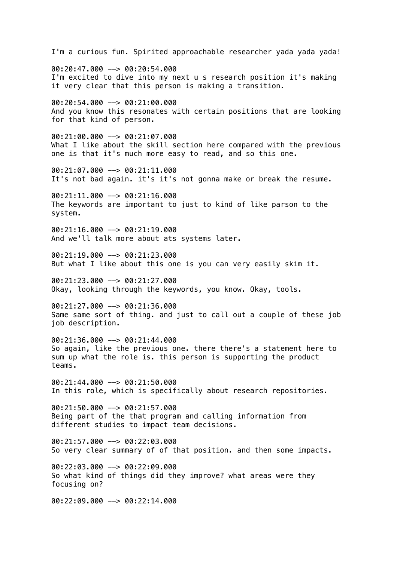I'm a curious fun. Spirited approachable researcher yada yada yada! 00:20:47.000 --> 00:20:54.000 I'm excited to dive into my next u s research position it's making it very clear that this person is making a transition. 00:20:54.000 --> 00:21:00.000 And you know this resonates with certain positions that are looking for that kind of person. 00:21:00.000 --> 00:21:07.000 What I like about the skill section here compared with the previous one is that it's much more easy to read, and so this one. 00:21:07.000 --> 00:21:11.000 It's not bad again. it's it's not gonna make or break the resume.  $00:21:11.000$  -->  $00:21:16.000$ The keywords are important to just to kind of like parson to the system.  $00:21:16.000$  -->  $00:21:19.000$ And we'll talk more about ats systems later. 00:21:19.000 --> 00:21:23.000 But what I like about this one is you can very easily skim it. 00:21:23.000 --> 00:21:27.000 Okay, looking through the keywords, you know. Okay, tools. 00:21:27.000 --> 00:21:36.000 Same same sort of thing. and just to call out a couple of these job job description. 00:21:36.000 --> 00:21:44.000 So again, like the previous one. there there's a statement here to sum up what the role is. this person is supporting the product teams. 00:21:44.000 --> 00:21:50.000 In this role, which is specifically about research repositories.  $00:21:50.000$  -->  $00:21:57.000$ Being part of the that program and calling information from different studies to impact team decisions.  $00:21:57.000$  -->  $00:22:03.000$ So very clear summary of of that position. and then some impacts. 00:22:03.000 --> 00:22:09.000 So what kind of things did they improve? what areas were they focusing on? 00:22:09.000 --> 00:22:14.000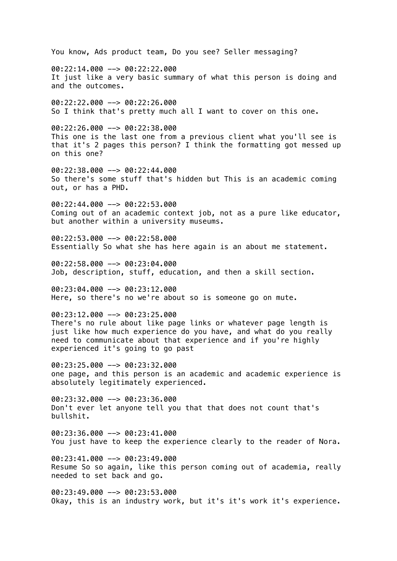You know, Ads product team, Do you see? Seller messaging? 00:22:14.000 --> 00:22:22.000 It just like a very basic summary of what this person is doing and and the outcomes. 00:22:22.000 --> 00:22:26.000 So I think that's pretty much all I want to cover on this one. 00:22:26.000 --> 00:22:38.000 This one is the last one from a previous client what you'll see is that it's 2 pages this person? I think the formatting got messed up on this one? 00:22:38.000 --> 00:22:44.000 So there's some stuff that's hidden but This is an academic coming out, or has a PHD.  $00:22:44.000$  -->  $00:22:53.000$ Coming out of an academic context job, not as a pure like educator, but another within a university museums. 00:22:53.000 --> 00:22:58.000 Essentially So what she has here again is an about me statement. 00:22:58.000 --> 00:23:04.000 Job, description, stuff, education, and then a skill section. 00:23:04.000 --> 00:23:12.000 Here, so there's no we're about so is someone go on mute. 00:23:12.000 --> 00:23:25.000 There's no rule about like page links or whatever page length is just like how much experience do you have, and what do you really need to communicate about that experience and if you're highly experienced it's going to go past 00:23:25.000 --> 00:23:32.000 one page, and this person is an academic and academic experience is absolutely legitimately experienced. 00:23:32.000 --> 00:23:36.000 Don't ever let anyone tell you that that does not count that's bullshit. 00:23:36.000 --> 00:23:41.000 You just have to keep the experience clearly to the reader of Nora.  $00:23:41.000$  -->  $00:23:49.000$ Resume So so again, like this person coming out of academia, really needed to set back and go. 00:23:49.000 --> 00:23:53.000 Okay, this is an industry work, but it's it's work it's experience.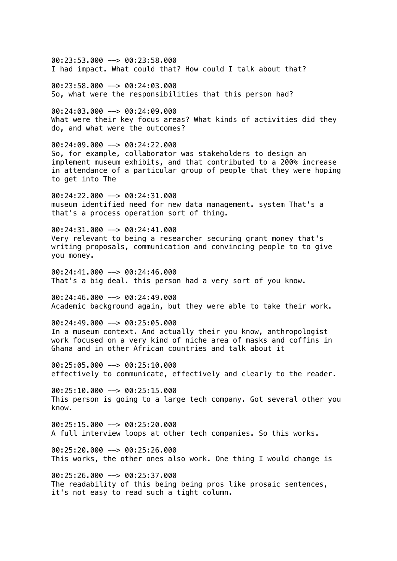00:23:53.000 --> 00:23:58.000 I had impact. What could that? How could I talk about that?

00:23:58.000 --> 00:24:03.000 So, what were the responsibilities that this person had?

00:24:03.000 --> 00:24:09.000 What were their key focus areas? What kinds of activities did they do, and what were the outcomes?

00:24:09.000 --> 00:24:22.000 So, for example, collaborator was stakeholders to design an implement museum exhibits, and that contributed to a 200% increase in attendance of a particular group of people that they were hoping to get into The

 $00:24:22.000$  -->  $00:24:31.000$ museum identified need for new data management. system That's a that's a process operation sort of thing.

00:24:31.000 --> 00:24:41.000 Very relevant to being a researcher securing grant money that's writing proposals, communication and convincing people to to give you money.

00:24:41.000 --> 00:24:46.000 That's a big deal. this person had a very sort of you know.

00:24:46.000 --> 00:24:49.000 Academic background again, but they were able to take their work.

00:24:49.000 --> 00:25:05.000 In a museum context. And actually their you know, anthropologist work focused on a very kind of niche area of masks and coffins in Ghana and in other African countries and talk about it

00:25:05.000 --> 00:25:10.000 effectively to communicate, effectively and clearly to the reader.

 $00:25:10.000$  -->  $00:25:15.000$ This person is going to a large tech company. Got several other you know.

00:25:15.000 --> 00:25:20.000 A full interview loops at other tech companies. So this works.

 $00:25:20.000$  -->  $00:25:26.000$ This works, the other ones also work. One thing I would change is

00:25:26.000 --> 00:25:37.000 The readability of this being being pros like prosaic sentences, it's not easy to read such a tight column.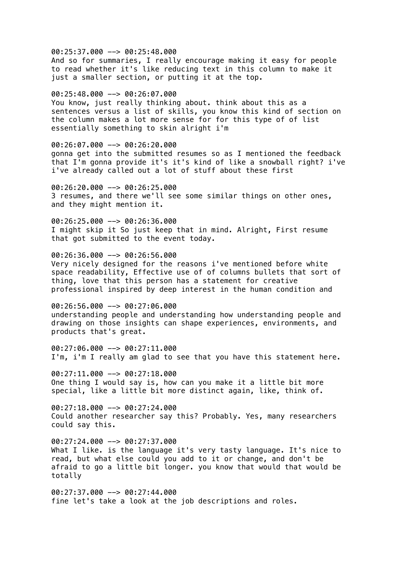00:25:37.000 --> 00:25:48.000

And so for summaries, I really encourage making it easy for people to read whether it's like reducing text in this column to make it just a smaller section, or putting it at the top.

00:25:48.000 --> 00:26:07.000

You know, just really thinking about. think about this as a sentences versus a list of skills, you know this kind of section on the column makes a lot more sense for for this type of of list essentially something to skin alright i'm

00:26:07.000 --> 00:26:20.000 gonna get into the submitted resumes so as I mentioned the feedback that I'm gonna provide it's it's kind of like a snowball right? i've i've already called out a lot of stuff about these first

00:26:20.000 --> 00:26:25.000 3 resumes, and there we'll see some similar things on other ones, and they might mention it.

00:26:25.000 --> 00:26:36.000 I might skip it So just keep that in mind. Alright, First resume that got submitted to the event today.

00:26:36.000 --> 00:26:56.000 Very nicely designed for the reasons i've mentioned before white space readability, Effective use of of columns bullets that sort of thing, love that this person has a statement for creative professional inspired by deep interest in the human condition and

00:26:56.000 --> 00:27:06.000 understanding people and understanding how understanding people and drawing on those insights can shape experiences, environments, and products that's great.

00:27:06.000 --> 00:27:11.000 I'm, i'm I really am glad to see that you have this statement here.

00:27:11.000 --> 00:27:18.000 One thing I would say is, how can you make it a little bit more special, like a little bit more distinct again, like, think of.

 $00:27:18.000$  -->  $00:27:24.000$ Could another researcher say this? Probably. Yes, many researchers could say this.

00:27:24.000 --> 00:27:37.000 What I like, is the language it's very tasty language. It's nice to read, but what else could you add to it or change, and don't be afraid to go a little bit longer. you know that would that would be totally

00:27:37.000 --> 00:27:44.000 fine let's take a look at the job descriptions and roles.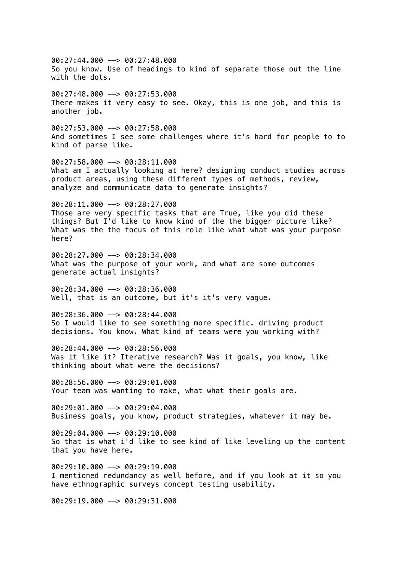00:27:44.000 --> 00:27:48.000 So you know. Use of headings to kind of separate those out the line with the dots. 00:27:48.000 --> 00:27:53.000 There makes it very easy to see. Okay, this is one job, and this is another job. 00:27:53.000 --> 00:27:58.000 And sometimes I see some challenges where it's hard for people to to kind of parse like. 00:27:58.000 --> 00:28:11.000 What am I actually looking at here? designing conduct studies across product areas, using these different types of methods, review, analyze and communicate data to generate insights? 00:28:11.000 --> 00:28:27.000 Those are very specific tasks that are True, like you did these things? But I'd like to know kind of the the bigger picture like? What was the the focus of this role like what what was your purpose here? 00:28:27.000 --> 00:28:34.000 What was the purpose of your work, and what are some outcomes generate actual insights? 00:28:34.000 --> 00:28:36.000 Well, that is an outcome, but it's it's very vaque. 00:28:36.000 --> 00:28:44.000 So I would like to see something more specific. driving product decisions. You know. What kind of teams were you working with? 00:28:44.000 --> 00:28:56.000 Was it like it? Iterative research? Was it goals, you know, like thinking about what were the decisions? 00:28:56.000 --> 00:29:01.000 Your team was wanting to make, what what their goals are. 00:29:01.000 --> 00:29:04.000 Business goals, you know, product strategies, whatever it may be. 00:29:04.000 --> 00:29:10.000 So that is what i'd like to see kind of like leveling up the content that you have here. 00:29:10.000 --> 00:29:19.000 I mentioned redundancy as well before, and if you look at it so you have ethnographic surveys concept testing usability.

00:29:19.000 --> 00:29:31.000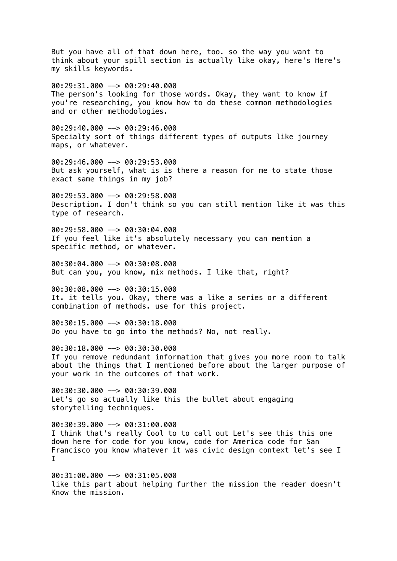But you have all of that down here, too. so the way you want to think about your spill section is actually like okay, here's Here's my skills keywords. 00:29:31.000 --> 00:29:40.000 The person's looking for those words. Okay, they want to know if you're researching, you know how to do these common methodologies and or other methodologies. 00:29:40.000 --> 00:29:46.000 Specialty sort of things different types of outputs like journey maps, or whatever. 00:29:46.000 --> 00:29:53.000 But ask yourself, what is is there a reason for me to state those exact same things in my job?  $00:29:53.000$  -->  $00:29:58.000$ Description. I don't think so you can still mention like it was this type of research. 00:29:58.000 --> 00:30:04.000 If you feel like it's absolutely necessary you can mention a specific method, or whatever. 00:30:04.000 --> 00:30:08.000 But can you, you know, mix methods. I like that, right? 00:30:08.000 --> 00:30:15.000 It. it tells you. Okay, there was a like a series or a different combination of methods. use for this project. 00:30:15.000 --> 00:30:18.000 Do you have to go into the methods? No, not really. 00:30:18.000 --> 00:30:30.000 If you remove redundant information that gives you more room to talk about the things that I mentioned before about the larger purpose of your work in the outcomes of that work. 00:30:30.000 --> 00:30:39.000 Let's go so actually like this the bullet about engaging storytelling techniques. 00:30:39.000 --> 00:31:00.000 I think that's really Cool to to call out Let's see this this one down here for code for you know, code for America code for San Francisco you know whatever it was civic design context let's see I I

00:31:00.000 --> 00:31:05.000 like this part about helping further the mission the reader doesn't Know the mission.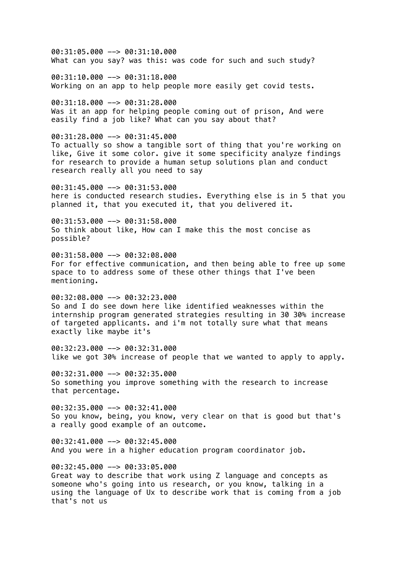00:31:05.000 --> 00:31:10.000 What can you say? was this: was code for such and such study? 00:31:10.000 --> 00:31:18.000 Working on an app to help people more easily get covid tests. 00:31:18.000 --> 00:31:28.000 Was it an app for helping people coming out of prison, And were easily find a job like? What can you say about that?  $00:31:28.000$  -->  $00:31:45.000$ To actually so show a tangible sort of thing that you're working on like, Give it some color. give it some specificity analyze findings for research to provide a human setup solutions plan and conduct research really all you need to say  $00:31:45.000$  -->  $00:31:53.000$ here is conducted research studies. Everything else is in 5 that you planned it, that you executed it, that you delivered it.  $00:31:53.000$  -->  $00:31:58.000$ So think about like, How can I make this the most concise as possible? 00:31:58.000 --> 00:32:08.000 For for effective communication, and then being able to free up some space to to address some of these other things that I've been mentioning. 00:32:08.000 --> 00:32:23.000 So and I do see down here like identified weaknesses within the internship program generated strategies resulting in 30 30% increase of targeted applicants. and i'm not totally sure what that means exactly like maybe it's 00:32:23.000 --> 00:32:31.000 like we got 30% increase of people that we wanted to apply to apply. 00:32:31.000 --> 00:32:35.000 So something you improve something with the research to increase that percentage.  $00:32:35.000$  -->  $00:32:41.000$ So you know, being, you know, very clear on that is good but that's a really good example of an outcome.  $00:32:41.000$  -->  $00:32:45.000$ And you were in a higher education program coordinator job. 00:32:45.000 --> 00:33:05.000 Great way to describe that work using Z language and concepts as someone who's going into us research, or you know, talking in a using the language of Ux to describe work that is coming from a job that's not us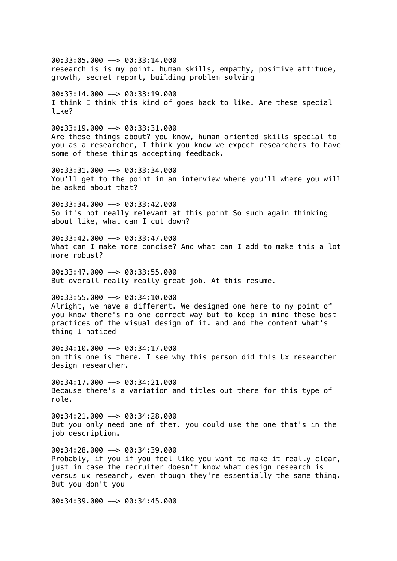00:33:05.000 --> 00:33:14.000 research is is my point. human skills, empathy, positive attitude, growth, secret report, building problem solving 00:33:14.000 --> 00:33:19.000 I think I think this kind of goes back to like. Are these special like? 00:33:19.000 --> 00:33:31.000 Are these things about? you know, human oriented skills special to you as a researcher, I think you know we expect researchers to have some of these things accepting feedback. 00:33:31.000 --> 00:33:34.000 You'll get to the point in an interview where you'll where you will be asked about that? 00:33:34.000 --> 00:33:42.000 So it's not really relevant at this point So such again thinking about like, what can I cut down?  $00:33:42.000$  -->  $00:33:47.000$ What can I make more concise? And what can I add to make this a lot more robust? 00:33:47.000 --> 00:33:55.000 But overall really really great job. At this resume. 00:33:55.000 --> 00:34:10.000 Alright, we have a different. We designed one here to my point of you know there's no one correct way but to keep in mind these best practices of the visual design of it. and and the content what's thing I noticed 00:34:10.000 --> 00:34:17.000 on this one is there. I see why this person did this Ux researcher design researcher. 00:34:17.000 --> 00:34:21.000 Because there's a variation and titles out there for this type of role. 00:34:21.000 --> 00:34:28.000 But you only need one of them. you could use the one that's in the job description.  $00:34:28.000$  -->  $00:34:39.000$ Probably, if you if you feel like you want to make it really clear, just in case the recruiter doesn't know what design research is versus ux research, even though they're essentially the same thing. But you don't you 00:34:39.000 --> 00:34:45.000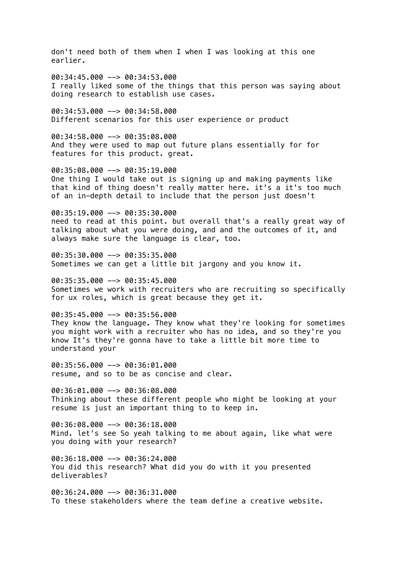don't need both of them when I when I was looking at this one earlier.

00:34:45.000 --> 00:34:53.000 I really liked some of the things that this person was saying about doing research to establish use cases.

00:34:53.000 --> 00:34:58.000 Different scenarios for this user experience or product

00:34:58.000 --> 00:35:08.000 And they were used to map out future plans essentially for for features for this product. great.

00:35:08.000 --> 00:35:19.000 One thing I would take out is signing up and making payments like that kind of thing doesn't really matter here. it's a it's too much of an in-depth detail to include that the person just doesn't

 $00:35:19.000$  -->  $00:35:30.000$ need to read at this point. but overall that's a really great way of talking about what you were doing, and and the outcomes of it, and always make sure the language is clear, too.

00:35:30.000 --> 00:35:35.000 Sometimes we can get a little bit jargony and you know it.

00:35:35.000 --> 00:35:45.000 Sometimes we work with recruiters who are recruiting so specifically for ux roles, which is great because they get it.

00:35:45.000 --> 00:35:56.000 They know the language. They know what they're looking for sometimes you might work with a recruiter who has no idea, and so they're you know It's they're gonna have to take a little bit more time to understand your

00:35:56.000 --> 00:36:01.000 resume, and so to be as concise and clear.

00:36:01.000 --> 00:36:08.000 Thinking about these different people who might be looking at your resume is just an important thing to to keep in.

00:36:08.000 --> 00:36:18.000 Mind. let's see So yeah talking to me about again, like what were you doing with your research?

 $00:36:18.000$  -->  $00:36:24.000$ You did this research? What did you do with it you presented deliverables?

00:36:24.000 --> 00:36:31.000 To these stakeholders where the team define a creative website.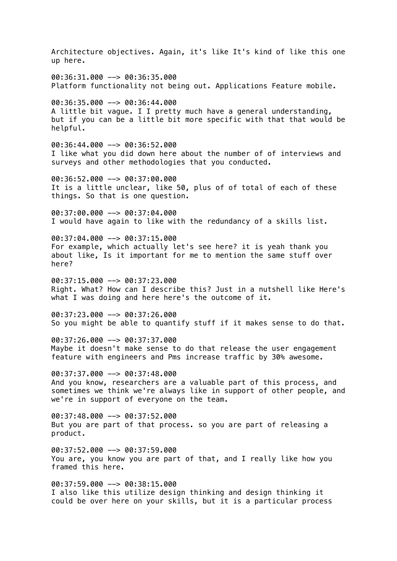Architecture objectives. Again, it's like It's kind of like this one up here. 00:36:31.000 --> 00:36:35.000 Platform functionality not being out. Applications Feature mobile. 00:36:35.000 --> 00:36:44.000 A little bit vague. I I pretty much have a general understanding, but if you can be a little bit more specific with that that would be helpful. 00:36:44.000 --> 00:36:52.000 I like what you did down here about the number of of interviews and surveys and other methodologies that you conducted. 00:36:52.000 --> 00:37:00.000 It is a little unclear, like 50, plus of of total of each of these things. So that is one question. 00:37:00.000 --> 00:37:04.000 I would have again to like with the redundancy of a skills list.  $00:37:04.000$  -->  $00:37:15.000$ For example, which actually let's see here? it is yeah thank you about like, Is it important for me to mention the same stuff over here? 00:37:15.000 --> 00:37:23.000 Right. What? How can I describe this? Just in a nutshell like Here's what I was doing and here here's the outcome of it. 00:37:23.000 --> 00:37:26.000 So you might be able to quantify stuff if it makes sense to do that. 00:37:26.000 --> 00:37:37.000 Maybe it doesn't make sense to do that release the user engagement feature with engineers and Pms increase traffic by 30% awesome. 00:37:37.000 --> 00:37:48.000 And you know, researchers are a valuable part of this process, and sometimes we think we're always like in support of other people, and we're in support of everyone on the team. 00:37:48.000 --> 00:37:52.000 But you are part of that process. so you are part of releasing a product.  $00:37:52.000$  -->  $00:37:59.000$ You are, you know you are part of that, and I really like how you framed this here. 00:37:59.000 --> 00:38:15.000 I also like this utilize design thinking and design thinking it could be over here on your skills, but it is a particular process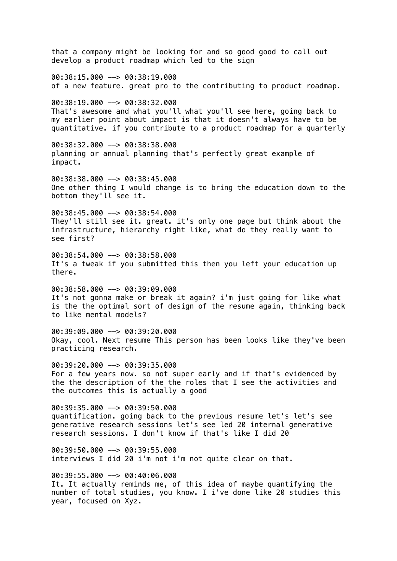that a company might be looking for and so good good to call out develop a product roadmap which led to the sign 00:38:15.000 --> 00:38:19.000 of a new feature. great pro to the contributing to product roadmap. 00:38:19.000 --> 00:38:32.000 That's awesome and what you'll what you'll see here, going back to my earlier point about impact is that it doesn't always have to be quantitative. if you contribute to a product roadmap for a quarterly 00:38:32.000 --> 00:38:38.000 planning or annual planning that's perfectly great example of impact. 00:38:38.000 --> 00:38:45.000 One other thing I would change is to bring the education down to the bottom they'll see it.  $00:38:45.000$  -->  $00:38:54.000$ They'll still see it. great. it's only one page but think about the infrastructure, hierarchy right like, what do they really want to see first? 00:38:54.000 --> 00:38:58.000 It's a tweak if you submitted this then you left your education up there. 00:38:58.000 --> 00:39:09.000 It's not gonna make or break it again? i'm just going for like what is the the optimal sort of design of the resume again, thinking back to like mental models?  $00:39:09.000$  -->  $00:39:20.000$ Okay, cool. Next resume This person has been looks like they've been practicing research. 00:39:20.000 --> 00:39:35.000 For a few years now. so not super early and if that's evidenced by the the description of the the roles that I see the activities and the outcomes this is actually a good  $00:39:35.000$  -->  $00:39:50.000$ quantification. going back to the previous resume let's let's see generative research sessions let's see led 20 internal generative research sessions. I don't know if that's like I did 20  $00:39:50.000$  -->  $00:39:55.000$ interviews I did 20 i'm not i'm not quite clear on that. 00:39:55.000 --> 00:40:06.000 It. It actually reminds me, of this idea of maybe quantifying the number of total studies, you know. I i've done like 20 studies this year, focused on Xyz.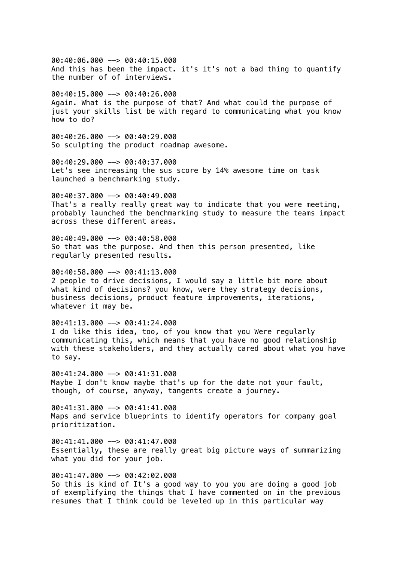00:40:06.000 --> 00:40:15.000 And this has been the impact. it's it's not a bad thing to quantify the number of of interviews.

00:40:15.000 --> 00:40:26.000 Again. What is the purpose of that? And what could the purpose of just your skills list be with regard to communicating what you know how to do?

 $00:40:26.000$  -->  $00:40:29.000$ So sculpting the product roadmap awesome.

00:40:29.000 --> 00:40:37.000 Let's see increasing the sus score by 14% awesome time on task launched a benchmarking study.

 $00:40:37.000$  -->  $00:40:49.000$ That's a really really great way to indicate that you were meeting, probably launched the benchmarking study to measure the teams impact across these different areas.

00:40:49.000 --> 00:40:58.000 So that was the purpose. And then this person presented, like regularly presented results.

00:40:58.000 --> 00:41:13.000 2 people to drive decisions, I would say a little bit more about what kind of decisions? you know, were they strategy decisions, business decisions, product feature improvements, iterations, whatever it may be.

00:41:13.000 --> 00:41:24.000 I do like this idea, too, of you know that you Were regularly communicating this, which means that you have no good relationship with these stakeholders, and they actually cared about what you have to say.

00:41:24.000 --> 00:41:31.000 Maybe I don't know maybe that's up for the date not your fault, though, of course, anyway, tangents create a journey.

 $00:41:31.000$  -->  $00:41:41.000$ Maps and service blueprints to identify operators for company goal prioritization.

 $00:41:41.000$  -->  $00:41:47.000$ Essentially, these are really great big picture ways of summarizing what you did for your job.

00:41:47.000 --> 00:42:02.000 So this is kind of It's a good way to you you are doing a good job of exemplifying the things that I have commented on in the previous resumes that I think could be leveled up in this particular way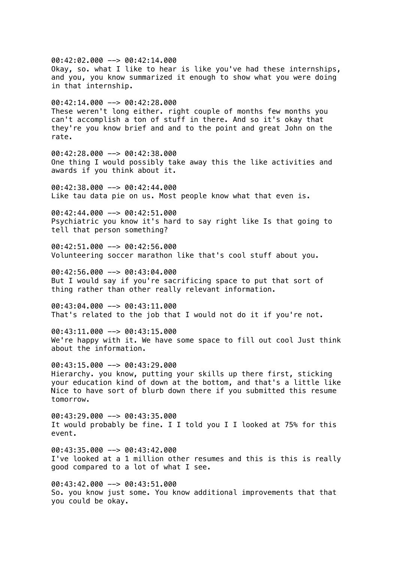00:42:02.000 --> 00:42:14.000 Okay, so. what I like to hear is like you've had these internships, and you, you know summarized it enough to show what you were doing in that internship.  $00:42:14.000$  -->  $00:42:28.000$ These weren't long either. right couple of months few months you can't accomplish a ton of stuff in there. And so it's okay that they're you know brief and and to the point and great John on the rate. 00:42:28.000 --> 00:42:38.000 One thing I would possibly take away this the like activities and awards if you think about it.  $00:42:38.000$  -->  $00:42:44.000$ Like tau data pie on us. Most people know what that even is.  $00:42:44.000$  -->  $00:42:51.000$ Psychiatric you know it's hard to say right like Is that going to tell that person something?  $00:42:51.000$  -->  $00:42:56.000$ Volunteering soccer marathon like that's cool stuff about you. 00:42:56.000 --> 00:43:04.000 But I would say if you're sacrificing space to put that sort of thing rather than other really relevant information. 00:43:04.000 --> 00:43:11.000 That's related to the job that I would not do it if you're not.  $00:43:11.000$  -->  $00:43:15.000$ We're happy with it. We have some space to fill out cool Just think about the information. 00:43:15.000 --> 00:43:29.000 Hierarchy. you know, putting your skills up there first, sticking your education kind of down at the bottom, and that's a little like Nice to have sort of blurb down there if you submitted this resume tomorrow. 00:43:29.000 --> 00:43:35.000 It would probably be fine. I I told you I I looked at 75% for this event.  $00:43:35.000$  -->  $00:43:42.000$ I've looked at a 1 million other resumes and this is this is really good compared to a lot of what I see. 00:43:42.000 --> 00:43:51.000 So. you know just some. You know additional improvements that that you could be okay.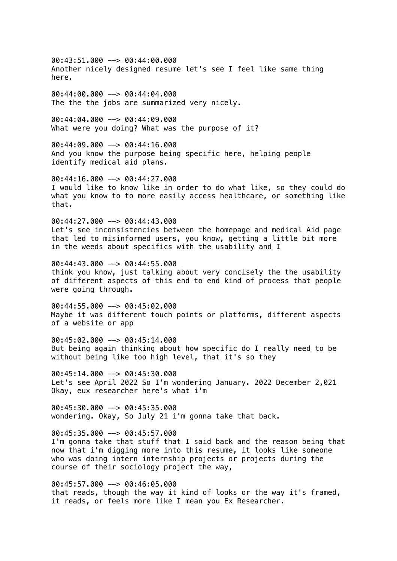00:43:51.000 --> 00:44:00.000 Another nicely designed resume let's see I feel like same thing here.

00:44:00.000 --> 00:44:04.000 The the the jobs are summarized very nicely.

00:44:04.000 --> 00:44:09.000 What were you doing? What was the purpose of it?

00:44:09.000 --> 00:44:16.000 And you know the purpose being specific here, helping people identify medical aid plans.

00:44:16.000 --> 00:44:27.000 I would like to know like in order to do what like, so they could do what you know to to more easily access healthcare, or something like that.

 $00:44:27.000$  -->  $00:44:43.000$ Let's see inconsistencies between the homepage and medical Aid page that led to misinformed users, you know, getting a little bit more in the weeds about specifics with the usability and I

00:44:43.000 --> 00:44:55.000 think you know, just talking about very concisely the the usability of different aspects of this end to end kind of process that people were going through.

00:44:55.000 --> 00:45:02.000 Maybe it was different touch points or platforms, different aspects of a website or app

00:45:02.000 --> 00:45:14.000 But being again thinking about how specific do I really need to be without being like too high level, that it's so they

00:45:14.000 --> 00:45:30.000 Let's see April 2022 So I'm wondering January. 2022 December 2,021 Okay, eux researcher here's what i'm

 $00:45:30.000$  -->  $00:45:35.000$ wondering. Okay, So July 21 i'm gonna take that back.

00:45:35.000 --> 00:45:57.000

I'm gonna take that stuff that I said back and the reason being that now that i'm digging more into this resume, it looks like someone who was doing intern internship projects or projects during the course of their sociology project the way,

00:45:57.000 --> 00:46:05.000 that reads, though the way it kind of looks or the way it's framed, it reads, or feels more like I mean you Ex Researcher.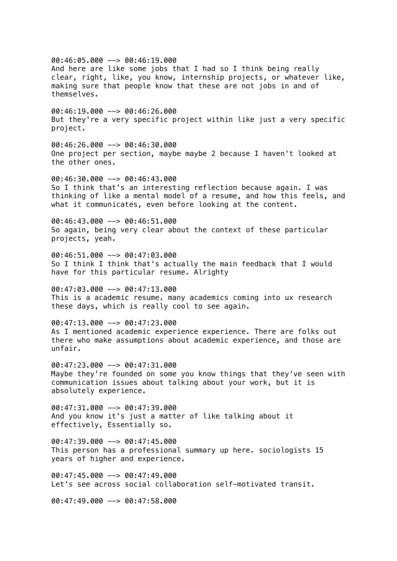00:46:05.000 --> 00:46:19.000 And here are like some jobs that I had so I think being really clear, right, like, you know, internship projects, or whatever like, making sure that people know that these are not jobs in and of themselves.  $00:46:19.000$  -->  $00:46:26.000$ But they're a very specific project within like just a very specific project. 00:46:26.000 --> 00:46:30.000 One project per section, maybe maybe 2 because I haven't looked at the other ones. 00:46:30.000 --> 00:46:43.000 So I think that's an interesting reflection because again. I was thinking of like a mental model of a resume, and how this feels, and what it communicates, even before looking at the content. 00:46:43.000 --> 00:46:51.000 So again, being very clear about the context of these particular projects, yeah. 00:46:51.000 --> 00:47:03.000 So I think I think that's actually the main feedback that I would have for this particular resume. Alrighty 00:47:03.000 --> 00:47:13.000 This is a academic resume. many academics coming into ux research these days, which is really cool to see again. 00:47:13.000 --> 00:47:23.000 As I mentioned academic experience experience. There are folks out there who make assumptions about academic experience, and those are unfair. 00:47:23.000 --> 00:47:31.000 Maybe they're founded on some you know things that they've seen with communication issues about talking about your work, but it is absolutely experience.  $00:47:31.000$  -->  $00:47:39.000$ And you know it's just a matter of like talking about it effectively, Essentially so.  $00:47:39.000$  -->  $00:47:45.000$ This person has a professional summary up here. sociologists 15 years of higher and experience.  $00:47:45.000$  -->  $00:47:49.000$ Let's see across social collaboration self-motivated transit.  $00:47:49.000$  -->  $00:47:58.000$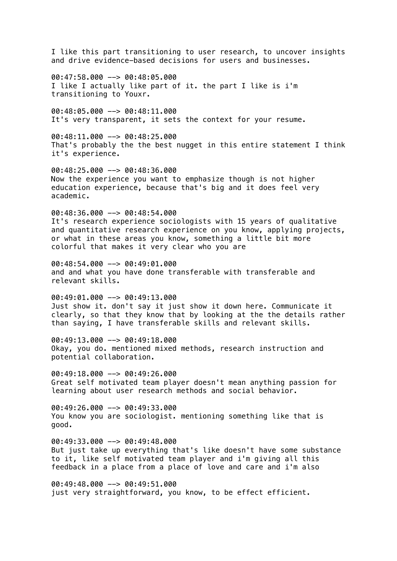I like this part transitioning to user research, to uncover insights and drive evidence-based decisions for users and businesses.

00:47:58.000 --> 00:48:05.000 I like I actually like part of it. the part I like is i'm transitioning to Youxr.

00:48:05.000 --> 00:48:11.000 It's very transparent, it sets the context for your resume.

 $00:48:11.000$  -->  $00:48:25.000$ That's probably the the best nugget in this entire statement I think it's experience.

00:48:25.000 --> 00:48:36.000 Now the experience you want to emphasize though is not higher education experience, because that's big and it does feel very academic.

 $00:48:36.000$  -->  $00:48:54.000$ It's research experience sociologists with 15 years of qualitative and quantitative research experience on you know, applying projects, or what in these areas you know, something a little bit more colorful that makes it very clear who you are

00:48:54.000 --> 00:49:01.000 and and what you have done transferable with transferable and relevant skills.

 $0.49:01.000$   $\rightarrow$  00:49:13.000 Just show it. don't say it just show it down here. Communicate it clearly, so that they know that by looking at the the details rather than saying, I have transferable skills and relevant skills.

00:49:13.000 --> 00:49:18.000 Okay, you do. mentioned mixed methods, research instruction and potential collaboration.

00:49:18.000 --> 00:49:26.000 Great self motivated team player doesn't mean anything passion for learning about user research methods and social behavior.

 $00:49:26.000$  -->  $00:49:33.000$ You know you are sociologist. mentioning something like that is good.

 $00:49:33.000$  -->  $00:49:48.000$ But just take up everything that's like doesn't have some substance to it, like self motivated team player and i'm giving all this feedback in a place from a place of love and care and i'm also

00:49:48.000 --> 00:49:51.000 just very straightforward, you know, to be effect efficient.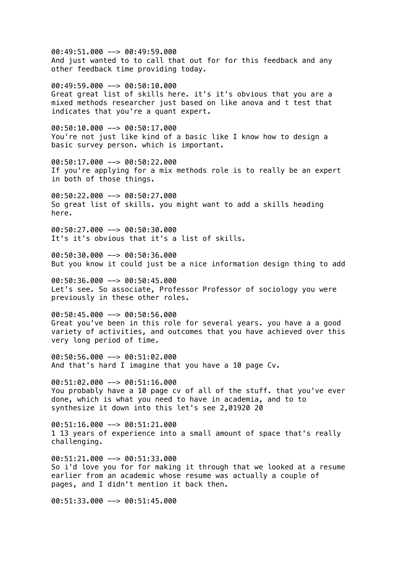00:49:51.000 --> 00:49:59.000 And just wanted to to call that out for for this feedback and any other feedback time providing today. 00:49:59.000 --> 00:50:10.000 Great great list of skills here. it's it's obvious that you are a mixed methods researcher just based on like anova and t test that indicates that you're a quant expert. 00:50:10.000 --> 00:50:17.000 You're not just like kind of a basic like I know how to design a basic survey person. which is important. 00:50:17.000 --> 00:50:22.000 If you're applying for a mix methods role is to really be an expert in both of those things.  $00:50:22.000$  -->  $00:50:27.000$ So great list of skills. you might want to add a skills heading here. 00:50:27.000 --> 00:50:30.000 It's it's obvious that it's a list of skills. 00:50:30.000 --> 00:50:36.000 But you know it could just be a nice information design thing to add 00:50:36.000 --> 00:50:45.000 Let's see. So associate, Professor Professor of sociology you were previously in these other roles. 00:50:45.000 --> 00:50:56.000 Great you've been in this role for several years. you have a a good variety of activities, and outcomes that you have achieved over this very long period of time. 00:50:56.000 --> 00:51:02.000 And that's hard I imagine that you have a 10 page Cv. 00:51:02.000 --> 00:51:16.000 You probably have a 10 page cv of all of the stuff. that you've ever done, which is what you need to have in academia, and to to synthesize it down into this let's see 2,01920 20  $00:51:16.000$  -->  $00:51:21.000$ 1 13 years of experience into a small amount of space that's really challenging.  $00:51:21.000$  -->  $00:51:33.000$ So i'd love you for for making it through that we looked at a resume earlier from an academic whose resume was actually a couple of pages, and I didn't mention it back then.

00:51:33.000 --> 00:51:45.000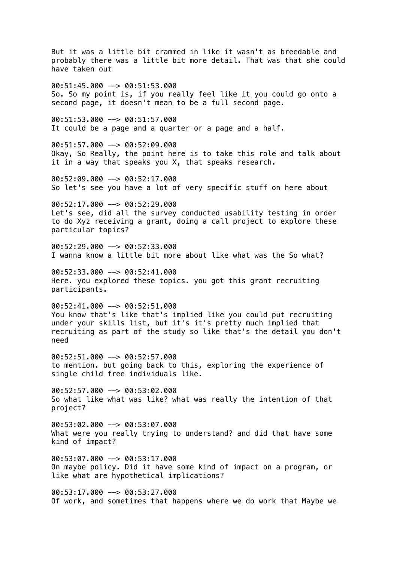But it was a little bit crammed in like it wasn't as breedable and probably there was a little bit more detail. That was that she could have taken out 00:51:45.000 --> 00:51:53.000 So. So my point is, if you really feel like it you could go onto a second page, it doesn't mean to be a full second page. 00:51:53.000 --> 00:51:57.000 It could be a page and a quarter or a page and a half. 00:51:57.000 --> 00:52:09.000 Okay, So Really, the point here is to take this role and talk about it in a way that speaks you X, that speaks research. 00:52:09.000 --> 00:52:17.000 So let's see you have a lot of very specific stuff on here about  $00:52:17.000$  -->  $00:52:29.000$ Let's see, did all the survey conducted usability testing in order to do Xyz receiving a grant, doing a call project to explore these particular topics? 00:52:29.000 --> 00:52:33.000 I wanna know a little bit more about like what was the So what? 00:52:33.000 --> 00:52:41.000 Here. you explored these topics. you got this grant recruiting participants. 00:52:41.000 --> 00:52:51.000 You know that's like that's implied like you could put recruiting under your skills list, but it's it's pretty much implied that recruiting as part of the study so like that's the detail you don't need 00:52:51.000 --> 00:52:57.000 to mention. but going back to this, exploring the experience of single child free individuals like.  $00:52:57.000$  -->  $00:53:02.000$ So what like what was like? what was really the intention of that project? 00:53:02.000 --> 00:53:07.000 What were you really trying to understand? and did that have some kind of impact?  $00:53:07.000$  -->  $00:53:17.000$ On maybe policy. Did it have some kind of impact on a program, or like what are hypothetical implications?  $00:53:17.000$  -->  $00:53:27.000$ Of work, and sometimes that happens where we do work that Maybe we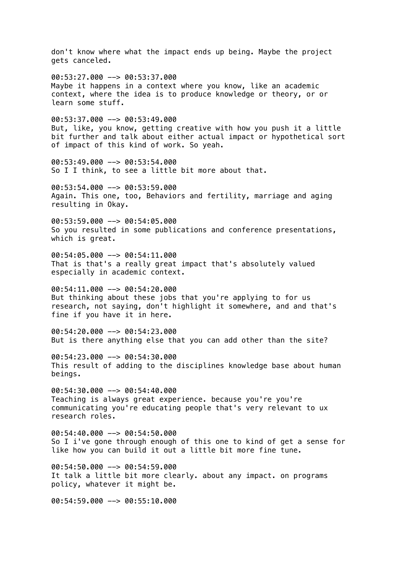don't know where what the impact ends up being. Maybe the project gets canceled. 00:53:27.000 --> 00:53:37.000 Maybe it happens in a context where you know, like an academic context, where the idea is to produce knowledge or theory, or or learn some stuff.  $00:53:37.000$  -->  $00:53:49.000$ But, like, you know, getting creative with how you push it a little bit further and talk about either actual impact or hypothetical sort of impact of this kind of work. So yeah. 00:53:49.000 --> 00:53:54.000 So I I think, to see a little bit more about that.  $00:53:54.000$  -->  $00:53:59.000$ Again. This one, too, Behaviors and fertility, marriage and aging resulting in Okay. 00:53:59.000 --> 00:54:05.000 So you resulted in some publications and conference presentations, which is great. 00:54:05.000 --> 00:54:11.000 That is that's a really great impact that's absolutely valued especially in academic context. 00:54:11.000 --> 00:54:20.000 But thinking about these jobs that you're applying to for us research, not saying, don't highlight it somewhere, and and that's fine if you have it in here. 00:54:20.000 --> 00:54:23.000 But is there anything else that you can add other than the site? 00:54:23.000 --> 00:54:30.000 This result of adding to the disciplines knowledge base about human beings.  $00:54:30.000$  -->  $00:54:40.000$ Teaching is always great experience. because you're you're communicating you're educating people that's very relevant to ux research roles. 00:54:40.000 --> 00:54:50.000 So I i've gone through enough of this one to kind of get a sense for like how you can build it out a little bit more fine tune. 00:54:50.000 --> 00:54:59.000 It talk a little bit more clearly. about any impact. on programs policy, whatever it might be. 00:54:59.000 --> 00:55:10.000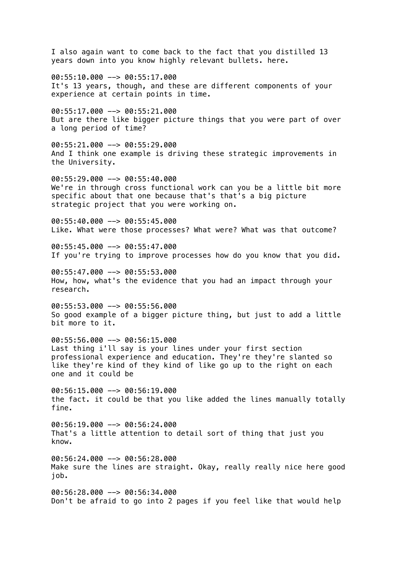I also again want to come back to the fact that you distilled 13 years down into you know highly relevant bullets. here. 00:55:10.000 --> 00:55:17.000 It's 13 years, though, and these are different components of your experience at certain points in time. 00:55:17.000 --> 00:55:21.000 But are there like bigger picture things that you were part of over a long period of time? 00:55:21.000 --> 00:55:29.000 And I think one example is driving these strategic improvements in the University. 00:55:29.000 --> 00:55:40.000 We're in through cross functional work can you be a little bit more specific about that one because that's that's a big picture strategic project that you were working on. 00:55:40.000 --> 00:55:45.000 Like. What were those processes? What were? What was that outcome? 00:55:45.000 --> 00:55:47.000 If you're trying to improve processes how do you know that you did. 00:55:47.000 --> 00:55:53.000 How, how, what's the evidence that you had an impact through your research. 00:55:53.000 --> 00:55:56.000 So good example of a bigger picture thing, but just to add a little bit more to it. 00:55:56.000 --> 00:56:15.000 Last thing i'll say is your lines under your first section professional experience and education. They're they're slanted so like they're kind of they kind of like go up to the right on each one and it could be  $00:56:15.000$  -->  $00:56:19.000$ the fact. it could be that you like added the lines manually totally fine. 00:56:19.000 --> 00:56:24.000 That's a little attention to detail sort of thing that just you know.  $00:56:24.000$  -->  $00:56:28.000$ Make sure the lines are straight. Okay, really really nice here good job. 00:56:28.000 --> 00:56:34.000 Don't be afraid to go into 2 pages if you feel like that would help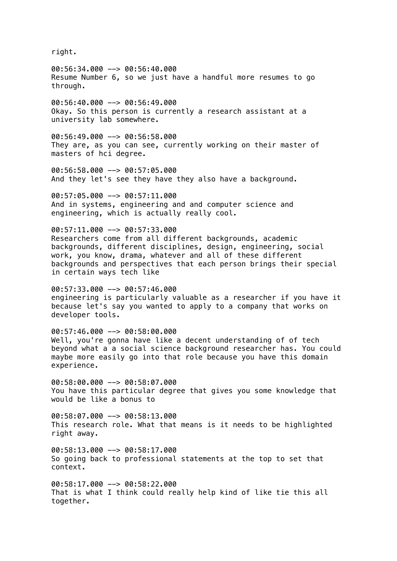right.

00:56:34.000 --> 00:56:40.000 Resume Number 6, so we just have a handful more resumes to go through.

00:56:40.000 --> 00:56:49.000 Okay. So this person is currently a research assistant at a university lab somewhere.

 $00:56:49.000$  -->  $00:56:58.000$ They are, as you can see, currently working on their master of masters of hci degree.

00:56:58.000 --> 00:57:05.000 And they let's see they have they also have a background.

 $00:57:05.000$  -->  $00:57:11.000$ And in systems, engineering and and computer science and engineering, which is actually really cool.

00:57:11.000 --> 00:57:33.000 Researchers come from all different backgrounds, academic backgrounds, different disciplines, design, engineering, social work, you know, drama, whatever and all of these different backgrounds and perspectives that each person brings their special in certain ways tech like

00:57:33.000 --> 00:57:46.000 engineering is particularly valuable as a researcher if you have it because let's say you wanted to apply to a company that works on developer tools.

00:57:46.000 --> 00:58:00.000 Well, you're gonna have like a decent understanding of of tech beyond what a a social science background researcher has. You could maybe more easily go into that role because you have this domain experience.

00:58:00.000 --> 00:58:07.000 You have this particular degree that gives you some knowledge that would be like a bonus to

 $00:58:07.000$  -->  $00:58:13.000$ This research role. What that means is it needs to be highlighted right away.

 $00:58:13.000$  -->  $00:58:17.000$ So going back to professional statements at the top to set that context.

00:58:17.000 --> 00:58:22.000 That is what I think could really help kind of like tie this all together.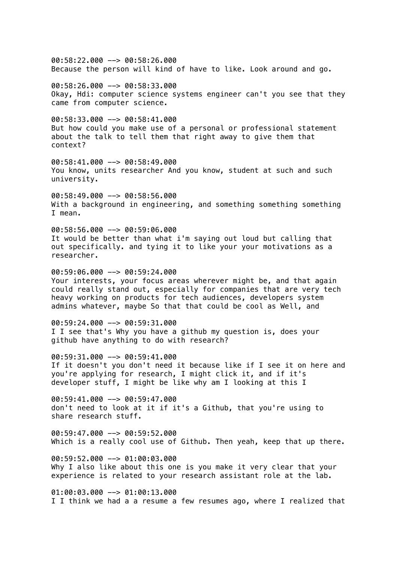00:58:22.000 --> 00:58:26.000 Because the person will kind of have to like. Look around and go.

00:58:26.000 --> 00:58:33.000 Okay, Hdi: computer science systems engineer can't you see that they came from computer science.

00:58:33.000 --> 00:58:41.000 But how could you make use of a personal or professional statement about the talk to tell them that right away to give them that context?

00:58:41.000 --> 00:58:49.000 You know, units researcher And you know, student at such and such university.

 $00:58:49.000$  -->  $00:58:56.000$ With a background in engineering, and something something something I mean.

00:58:56.000 --> 00:59:06.000 It would be better than what i'm saying out loud but calling that out specifically. and tying it to like your your motivations as a researcher.

00:59:06.000 --> 00:59:24.000 Your interests, your focus areas wherever might be, and that again could really stand out, especially for companies that are very tech heavy working on products for tech audiences, developers system admins whatever, maybe So that that could be cool as Well, and

00:59:24.000 --> 00:59:31.000 I I see that's Why you have a github my question is, does your github have anything to do with research?

00:59:31.000 --> 00:59:41.000 If it doesn't you don't need it because like if I see it on here and you're applying for research, I might click it, and if it's developer stuff, I might be like why am I looking at this I

00:59:41.000 --> 00:59:47.000 don't need to look at it if it's a Github, that you're using to share research stuff.

00:59:47.000 --> 00:59:52.000 Which is a really cool use of Github. Then yeah, keep that up there.

 $00:59:52.000$  -->  $01:00:03.000$ Why I also like about this one is you make it very clear that your experience is related to your research assistant role at the lab.

 $01:00:03.000$  -->  $01:00:13.000$ I I think we had a a resume a few resumes ago, where I realized that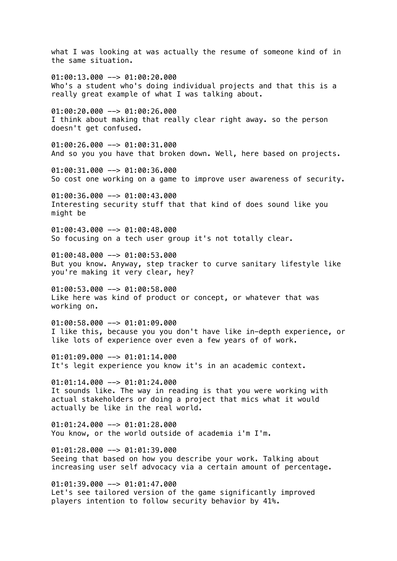what I was looking at was actually the resume of someone kind of in the same situation.  $01:00:13.000$  -->  $01:00:20.000$ Who's a student who's doing individual projects and that this is a really great example of what I was talking about.  $01:00:20.000$  -->  $01:00:26.000$ I think about making that really clear right away. so the person doesn't get confused. 01:00:26.000 --> 01:00:31.000 And so you you have that broken down. Well, here based on projects. 01:00:31.000 --> 01:00:36.000 So cost one working on a game to improve user awareness of security.  $01:00:36.000$  -->  $01:00:43.000$ Interesting security stuff that that kind of does sound like you might be  $0.1:00:43.000$  -->  $0.1:00:48.000$ So focusing on a tech user group it's not totally clear. 01:00:48.000 --> 01:00:53.000 But you know. Anyway, step tracker to curve sanitary lifestyle like you're making it very clear, hey?  $01:00:53.000$  -->  $01:00:58.000$ Like here was kind of product or concept, or whatever that was working on.  $01:00:58.000$  -->  $01:01:09.000$ I like this, because you you don't have like in-depth experience, or like lots of experience over even a few years of of work. 01:01:09.000 --> 01:01:14.000 It's legit experience you know it's in an academic context.  $01:01:14.000$  -->  $01:01:24.000$ It sounds like. The way in reading is that you were working with actual stakeholders or doing a project that mics what it would actually be like in the real world.  $01:01:24.000$  -->  $01:01:28.000$ You know, or the world outside of academia i'm I'm.  $01:01:28.000$  -->  $01:01:39.000$ Seeing that based on how you describe your work. Talking about increasing user self advocacy via a certain amount of percentage. 01:01:39.000 --> 01:01:47.000 Let's see tailored version of the game significantly improved players intention to follow security behavior by 41%.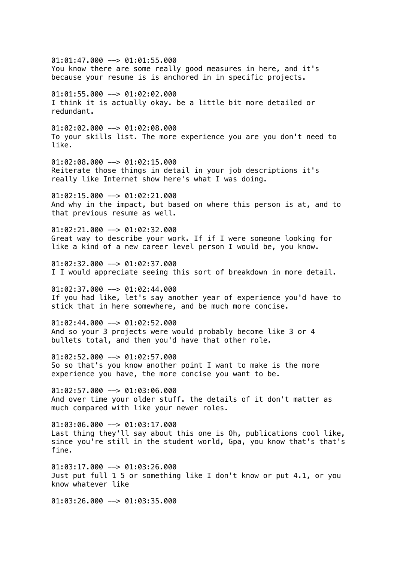01:01:47.000 --> 01:01:55.000 You know there are some really good measures in here, and it's because your resume is is anchored in in specific projects. 01:01:55.000 --> 01:02:02.000 I think it is actually okay. be a little bit more detailed or redundant. 01:02:02.000 --> 01:02:08.000 To your skills list. The more experience you are you don't need to like. 01:02:08.000 --> 01:02:15.000 Reiterate those things in detail in your job descriptions it's really like Internet show here's what I was doing.  $01:02:15.000$  -->  $01:02:21.000$ And why in the impact, but based on where this person is at, and to that previous resume as well.  $01:02:21.000$  -->  $01:02:32.000$ Great way to describe your work. If if I were someone looking for like a kind of a new career level person I would be, you know.  $01:02:32.000$  -->  $01:02:37.000$ I I would appreciate seeing this sort of breakdown in more detail.  $01:02:37.000$  -->  $01:02:44.000$ If you had like, let's say another year of experience you'd have to stick that in here somewhere, and be much more concise. 01:02:44.000 --> 01:02:52.000 And so your 3 projects were would probably become like 3 or 4 bullets total, and then you'd have that other role. 01:02:52.000 --> 01:02:57.000 So so that's you know another point I want to make is the more experience you have, the more concise you want to be.  $01:02:57.000$  -->  $01:03:06.000$ And over time your older stuff. the details of it don't matter as much compared with like your newer roles.  $01:03:06.000$  -->  $01:03:17.000$ Last thing they'll say about this one is Oh, publications cool like, since you're still in the student world, Gpa, you know that's that's fine. 01:03:17.000 --> 01:03:26.000 Just put full 1 5 or something like I don't know or put 4.1, or you know whatever like

 $01:03:26.000$  -->  $01:03:35.000$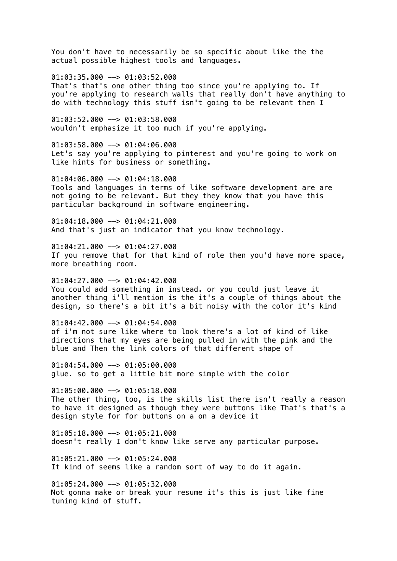You don't have to necessarily be so specific about like the the actual possible highest tools and languages.

 $01:03:35.000$  -->  $01:03:52.000$ That's that's one other thing too since you're applying to. If you're applying to research walls that really don't have anything to do with technology this stuff isn't going to be relevant then I

 $01:03:52.000$  -->  $01:03:58.000$ wouldn't emphasize it too much if you're applying.

01:03:58.000 --> 01:04:06.000 Let's say you're applying to pinterest and you're going to work on like hints for business or something.

 $01:04:06.000$  -->  $01:04:18.000$ Tools and languages in terms of like software development are are not going to be relevant. But they they know that you have this particular background in software engineering.

01:04:18.000 --> 01:04:21.000 And that's just an indicator that you know technology.

01:04:21.000 --> 01:04:27.000 If you remove that for that kind of role then you'd have more space, more breathing room.

01:04:27.000 --> 01:04:42.000 You could add something in instead. or you could just leave it another thing i'll mention is the it's a couple of things about the design, so there's a bit it's a bit noisy with the color it's kind

01:04:42.000 --> 01:04:54.000 of i'm not sure like where to look there's a lot of kind of like directions that my eyes are being pulled in with the pink and the blue and Then the link colors of that different shape of

01:04:54.000 --> 01:05:00.000 glue. so to get a little bit more simple with the color

 $01:05:00.000$  -->  $01:05:18.000$ The other thing, too, is the skills list there isn't really a reason to have it designed as though they were buttons like That's that's a design style for for buttons on a on a device it

 $01:05:18.000$  -->  $01:05:21.000$ doesn't really I don't know like serve any particular purpose.

 $01:05:21.000$  -->  $01:05:24.000$ It kind of seems like a random sort of way to do it again.

 $01:05:24.000$  -->  $01:05:32.000$ Not gonna make or break your resume it's this is just like fine tuning kind of stuff.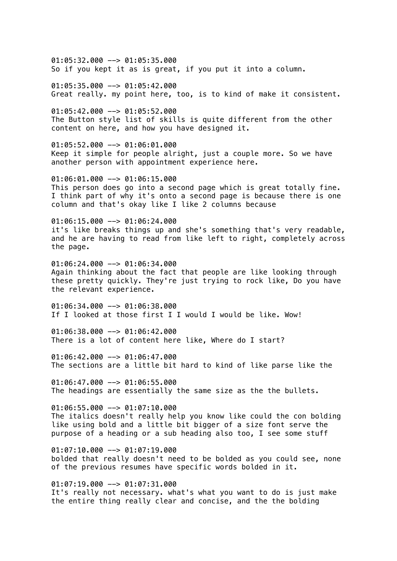01:05:32.000 --> 01:05:35.000 So if you kept it as is great, if you put it into a column.

 $01:05:35.000$  -->  $01:05:42.000$ Great really. my point here, too, is to kind of make it consistent.

01:05:42.000 --> 01:05:52.000 The Button style list of skills is quite different from the other content on here, and how you have designed it.

01:05:52.000 --> 01:06:01.000 Keep it simple for people alright, just a couple more. So we have another person with appointment experience here.

01:06:01.000 --> 01:06:15.000 This person does go into a second page which is great totally fine. I think part of why it's onto a second page is because there is one column and that's okay like I like 2 columns because

 $01:06:15.000$  -->  $01:06:24.000$ it's like breaks things up and she's something that's very readable, and he are having to read from like left to right, completely across the page.

01:06:24.000 --> 01:06:34.000 Again thinking about the fact that people are like looking through these pretty quickly. They're just trying to rock like, Do you have the relevant experience.

 $01:06:34.000$  -->  $01:06:38.000$ If I looked at those first I I would I would be like. Wow!

 $01:06:38.000$  -->  $01:06:42.000$ There is a lot of content here like, Where do I start?

01:06:42.000 --> 01:06:47.000 The sections are a little bit hard to kind of like parse like the

01:06:47.000 --> 01:06:55.000 The headings are essentially the same size as the the bullets.

 $01:06:55.000$  -->  $01:07:10.000$ The italics doesn't really help you know like could the con bolding like using bold and a little bit bigger of a size font serve the purpose of a heading or a sub heading also too, I see some stuff

 $01:07:10.000$  -->  $01:07:19.000$ bolded that really doesn't need to be bolded as you could see, none of the previous resumes have specific words bolded in it.

 $01:07:19.000$  -->  $01:07:31.000$ It's really not necessary. what's what you want to do is just make the entire thing really clear and concise, and the the bolding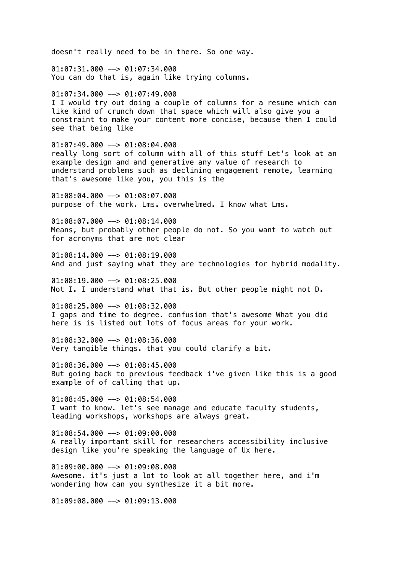doesn't really need to be in there. So one way. 01:07:31.000 --> 01:07:34.000 You can do that is, again like trying columns.  $01:07:34.000$  -->  $01:07:49.000$ I I would try out doing a couple of columns for a resume which can like kind of crunch down that space which will also give you a constraint to make your content more concise, because then I could see that being like 01:07:49.000 --> 01:08:04.000 really long sort of column with all of this stuff Let's look at an example design and and generative any value of research to understand problems such as declining engagement remote, learning that's awesome like you, you this is the  $01:08:04.000$  -->  $01:08:07.000$ purpose of the work. Lms. overwhelmed. I know what Lms. 01:08:07.000 --> 01:08:14.000 Means, but probably other people do not. So you want to watch out for acronyms that are not clear 01:08:14.000 --> 01:08:19.000 And and just saying what they are technologies for hybrid modality. 01:08:19.000 --> 01:08:25.000 Not I. I understand what that is. But other people might not D. 01:08:25.000 --> 01:08:32.000 I gaps and time to degree. confusion that's awesome What you did here is is listed out lots of focus areas for your work.  $01:08:32.000$  -->  $01:08:36.000$ Very tangible things. that you could clarify a bit.  $01:08:36.000$  -->  $01:08:45.000$ But going back to previous feedback i've given like this is a good example of of calling that up. 01:08:45.000 --> 01:08:54.000 I want to know. let's see manage and educate faculty students, leading workshops, workshops are always great.  $01:08:54.000$  -->  $01:09:00.000$ A really important skill for researchers accessibility inclusive design like you're speaking the language of Ux here.  $01:09:00.000$  -->  $01:09:08.000$ Awesome. it's just a lot to look at all together here, and i'm wondering how can you synthesize it a bit more.

 $01:09:08.000$  -->  $01:09:13.000$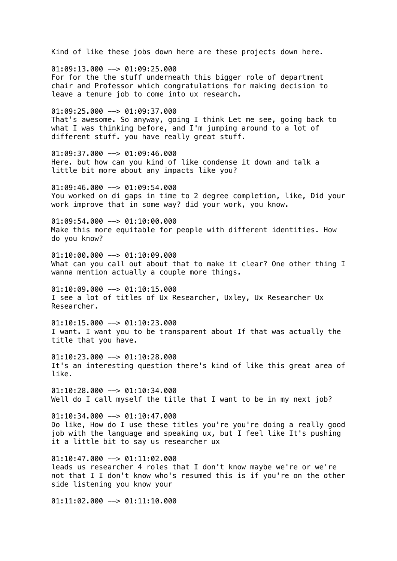Kind of like these jobs down here are these projects down here.  $01:09:13.000$  -->  $01:09:25.000$ For for the the stuff underneath this bigger role of department chair and Professor which congratulations for making decision to leave a tenure job to come into ux research.  $01:09:25.000$  -->  $01:09:37.000$ That's awesome. So anyway, going I think Let me see, going back to what I was thinking before, and I'm jumping around to a lot of different stuff. you have really great stuff. 01:09:37.000 --> 01:09:46.000 Here. but how can you kind of like condense it down and talk a little bit more about any impacts like you?  $01:09:46.000$  -->  $01:09:54.000$ You worked on di gaps in time to 2 degree completion, like, Did your work improve that in some way? did your work, you know. 01:09:54.000 --> 01:10:00.000 Make this more equitable for people with different identities. How do you know?  $01:10:00.000$  -->  $01:10:09.000$ What can you call out about that to make it clear? One other thing I wanna mention actually a couple more things.  $01:10:09.000$  -->  $01:10:15.000$ I see a lot of titles of Ux Researcher, Uxley, Ux Researcher Ux Researcher.  $01:10:15.000$  -->  $01:10:23.000$ I want. I want you to be transparent about If that was actually the title that you have. 01:10:23.000 --> 01:10:28.000 It's an interesting question there's kind of like this great area of like.  $01:10:28.000$  -->  $01:10:34.000$ Well do I call myself the title that I want to be in my next job?  $01:10:34.000$  -->  $01:10:47.000$ Do like, How do I use these titles you're you're doing a really good job with the language and speaking ux, but I feel like It's pushing it a little bit to say us researcher ux  $01:10:47.000$  -->  $01:11:02.000$ leads us researcher 4 roles that I don't know maybe we're or we're not that I I don't know who's resumed this is if you're on the other side listening you know your  $01:11:02.000$  -->  $01:11:10.000$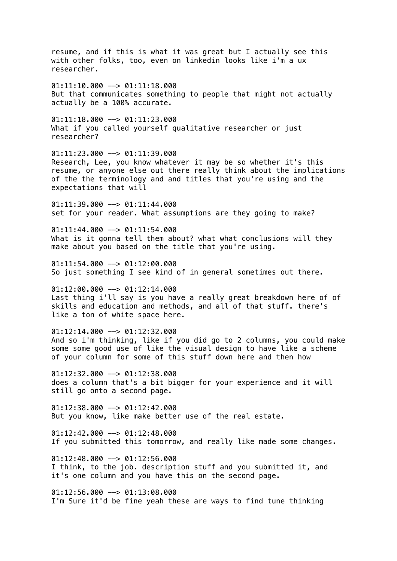resume, and if this is what it was great but I actually see this with other folks, too, even on linkedin looks like i'm a ux researcher.  $01:11:10.000$  -->  $01:11:18.000$ But that communicates something to people that might not actually actually be a 100% accurate.  $01:11:18.000$  -->  $01:11:23.000$ What if you called yourself qualitative researcher or just researcher? 01:11:23.000 --> 01:11:39.000 Research, Lee, you know whatever it may be so whether it's this resume, or anyone else out there really think about the implications of the the terminology and and titles that you're using and the expectations that will  $01:11:39.000$  -->  $01:11:44.000$ set for your reader. What assumptions are they going to make?  $01:11:44.000$  -->  $01:11:54.000$ What is it gonna tell them about? what what conclusions will they make about you based on the title that you're using.  $01:11:54.000$  -->  $01:12:00.000$ So just something I see kind of in general sometimes out there.  $01:12:00.000$  -->  $01:12:14.000$ Last thing i'll say is you have a really great breakdown here of of skills and education and methods, and all of that stuff. there's like a ton of white space here.  $01:12:14.000$  -->  $01:12:32.000$ And so i'm thinking, like if you did go to 2 columns, you could make some some good use of like the visual design to have like a scheme of your column for some of this stuff down here and then how 01:12:32.000 --> 01:12:38.000 does a column that's a bit bigger for your experience and it will still go onto a second page.  $01:12:38.000$  -->  $01:12:42.000$ But you know, like make better use of the real estate.  $01:12:42.000$  -->  $01:12:48.000$ If you submitted this tomorrow, and really like made some changes.  $01:12:48.000$  -->  $01:12:56.000$ I think, to the job. description stuff and you submitted it, and it's one column and you have this on the second page.  $01:12:56.000$  -->  $01:13:08.000$ I'm Sure it'd be fine yeah these are ways to find tune thinking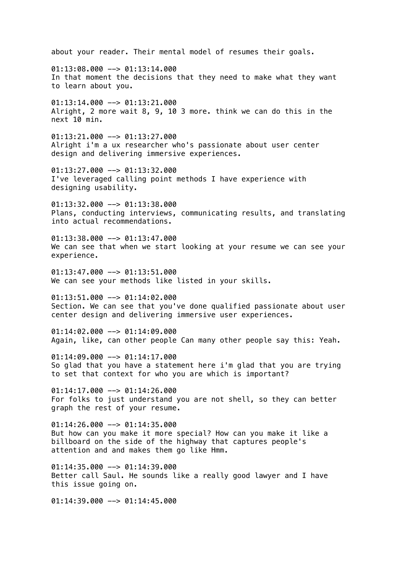about your reader. Their mental model of resumes their goals.  $01:13:08.000$  -->  $01:13:14.000$ In that moment the decisions that they need to make what they want to learn about you.  $01:13:14.000$  -->  $01:13:21.000$ Alright, 2 more wait 8, 9, 10 3 more. think we can do this in the next 10 min.  $01:13:21.000$  -->  $01:13:27.000$ Alright i'm a ux researcher who's passionate about user center design and delivering immersive experiences. 01:13:27.000 --> 01:13:32.000 I've leveraged calling point methods I have experience with designing usability. 01:13:32.000 --> 01:13:38.000 Plans, conducting interviews, communicating results, and translating into actual recommendations.  $01:13:38.000$  -->  $01:13:47.000$ We can see that when we start looking at your resume we can see your experience. 01:13:47.000 --> 01:13:51.000 We can see your methods like listed in your skills.  $01:13:51.000$  -->  $01:14:02.000$ Section. We can see that you've done qualified passionate about user center design and delivering immersive user experiences.  $01:14:02.000$  -->  $01:14:09.000$ Again, like, can other people Can many other people say this: Yeah.  $01:14:09.000$  -->  $01:14:17.000$ So glad that you have a statement here i'm glad that you are trying to set that context for who you are which is important?  $01:14:17.000$  -->  $01:14:26.000$ For folks to just understand you are not shell, so they can better graph the rest of your resume.  $01:14:26.000$  -->  $01:14:35.000$ But how can you make it more special? How can you make it like a billboard on the side of the highway that captures people's attention and and makes them go like Hmm.  $01:14:35.000$  -->  $01:14:39.000$ Better call Saul. He sounds like a really good lawyer and I have this issue going on.  $01:14:39.000$  -->  $01:14:45.000$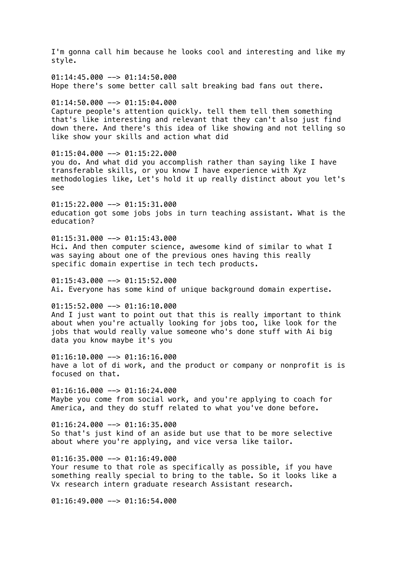I'm gonna call him because he looks cool and interesting and like my style.  $01:14:45.000$  -->  $01:14:50.000$ Hope there's some better call salt breaking bad fans out there. 01:14:50.000 --> 01:15:04.000 Capture people's attention quickly. tell them tell them something that's like interesting and relevant that they can't also just find down there. And there's this idea of like showing and not telling so like show your skills and action what did 01:15:04.000 --> 01:15:22.000 you do. And what did you accomplish rather than saying like I have transferable skills, or you know I have experience with Xyz methodologies like, Let's hold it up really distinct about you let's see  $01:15:22.000$  -->  $01:15:31.000$ education got some jobs jobs in turn teaching assistant. What is the education? 01:15:31.000 --> 01:15:43.000 Hci. And then computer science, awesome kind of similar to what I was saying about one of the previous ones having this really specific domain expertise in tech tech products. 01:15:43.000 --> 01:15:52.000 Ai. Everyone has some kind of unique background domain expertise.  $01:15:52.000$  -->  $01:16:10.000$ And I just want to point out that this is really important to think about when you're actually looking for jobs too, like look for the jobs that would really value someone who's done stuff with Ai big data you know maybe it's you 01:16:10.000 --> 01:16:16.000 have a lot of di work, and the product or company or nonprofit is is focused on that.  $01:16:16.000$  -->  $01:16:24.000$ Maybe you come from social work, and you're applying to coach for America, and they do stuff related to what you've done before.  $01:16:24.000$  -->  $01:16:35.000$ So that's just kind of an aside but use that to be more selective about where you're applying, and vice versa like tailor.  $01:16:35.000$  -->  $01:16:49.000$ Your resume to that role as specifically as possible, if you have something really special to bring to the table. So it looks like a Vx research intern graduate research Assistant research.  $01:16:49.000$  -->  $01:16:54.000$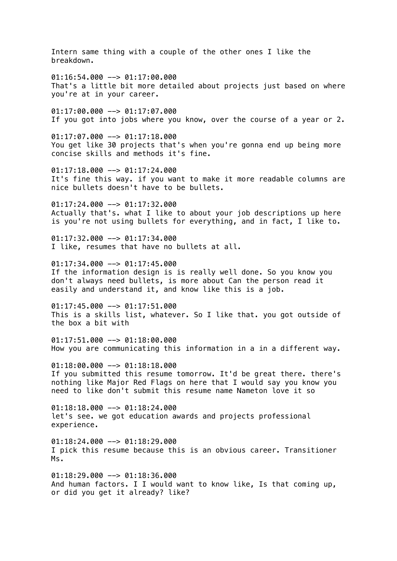Intern same thing with a couple of the other ones I like the breakdown.  $01:16:54.000$  -->  $01:17:00.000$ That's a little bit more detailed about projects just based on where you're at in your career.  $01:17:00.000$  -->  $01:17:07.000$ If you got into jobs where you know, over the course of a year or 2.  $01:17:07.000$  -->  $01:17:18.000$ You get like 30 projects that's when you're gonna end up being more concise skills and methods it's fine.  $01:17:18.000$  -->  $01:17:24.000$ It's fine this way. if you want to make it more readable columns are nice bullets doesn't have to be bullets.  $01:17:24.000$  -->  $01:17:32.000$ Actually that's. what I like to about your job descriptions up here is you're not using bullets for everything, and in fact, I like to.  $01:17:32.000$  -->  $01:17:34.000$ I like, resumes that have no bullets at all.  $01:17:34.000$  -->  $01:17:45.000$ If the information design is is really well done. So you know you don't always need bullets, is more about Can the person read it easily and understand it, and know like this is a job. 01:17:45.000 --> 01:17:51.000 This is a skills list, whatever. So I like that. you got outside of the box a bit with  $01:17:51.000$  -->  $01:18:00.000$ How you are communicating this information in a in a different way. 01:18:00.000 --> 01:18:18.000 If you submitted this resume tomorrow. It'd be great there. there's nothing like Major Red Flags on here that I would say you know you need to like don't submit this resume name Nameton love it so  $01:18:18.000$  -->  $01:18:24.000$ let's see. we got education awards and projects professional experience.  $01:18:24.000$  -->  $01:18:29.000$ I pick this resume because this is an obvious career. Transitioner Ms.  $01:18:29.000$  -->  $01:18:36.000$ 

And human factors. I I would want to know like, Is that coming up, or did you get it already? like?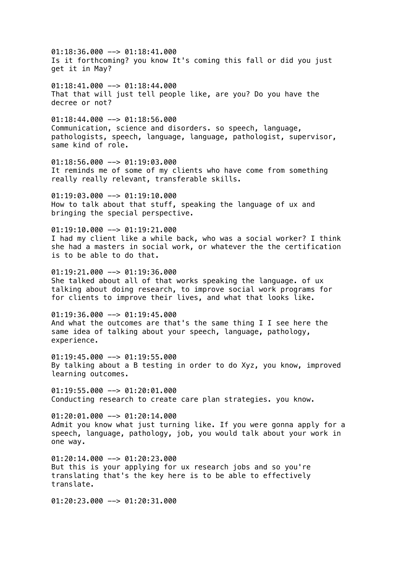$01:18:36.000$  -->  $01:18:41.000$ Is it forthcoming? you know It's coming this fall or did you just get it in May?

01:18:41.000 --> 01:18:44.000 That that will just tell people like, are you? Do you have the decree or not?

 $01:18:44.000$  -->  $01:18:56.000$ Communication, science and disorders. so speech, language, pathologists, speech, language, language, pathologist, supervisor, same kind of role.

 $01:18:56.000$  -->  $01:19:03.000$ It reminds me of some of my clients who have come from something really really relevant, transferable skills.

 $01:19:03.000$  -->  $01:19:10.000$ How to talk about that stuff, speaking the language of ux and bringing the special perspective.

 $01:19:10.000$  -->  $01:19:21.000$ I had my client like a while back, who was a social worker? I think she had a masters in social work, or whatever the the certification is to be able to do that.

 $01:19:21.000$  -->  $01:19:36.000$ She talked about all of that works speaking the language. of ux talking about doing research, to improve social work programs for for clients to improve their lives, and what that looks like.

 $01:19:36.000$  -->  $01:19:45.000$ And what the outcomes are that's the same thing I I see here the same idea of talking about your speech, language, pathology, experience.

 $01:19:45.000$  -->  $01:19:55.000$ By talking about a B testing in order to do Xyz, you know, improved learning outcomes.

 $01:19:55.000$  -->  $01:20:01.000$ Conducting research to create care plan strategies. you know.

01:20:01.000 --> 01:20:14.000 Admit you know what just turning like. If you were gonna apply for a speech, language, pathology, job, you would talk about your work in one way.

 $01:20:14.000$  -->  $01:20:23.000$ But this is your applying for ux research jobs and so you're translating that's the key here is to be able to effectively translate.

 $01:20:23.000$  -->  $01:20:31.000$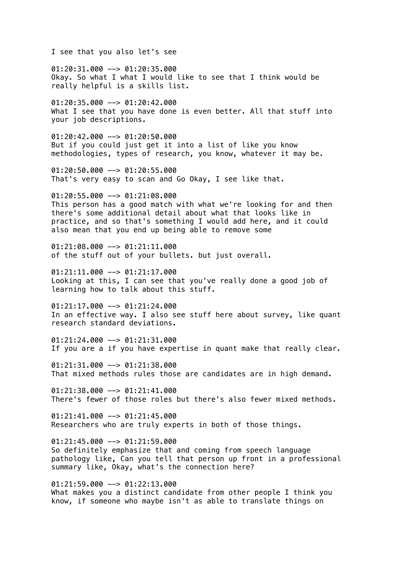I see that you also let's see

01:20:31.000 --> 01:20:35.000 Okay. So what I what I would like to see that I think would be really helpful is a skills list.

 $01:20:35.000$  -->  $01:20:42.000$ What I see that you have done is even better. All that stuff into your job descriptions.

 $01:20:42.000$  -->  $01:20:50.000$ But if you could just get it into a list of like you know methodologies, types of research, you know, whatever it may be.

01:20:50.000 --> 01:20:55.000 That's very easy to scan and Go Okay, I see like that.

 $01:20:55.000$  -->  $01:21:08.000$ This person has a good match with what we're looking for and then there's some additional detail about what that looks like in practice, and so that's something I would add here, and it could also mean that you end up being able to remove some

01:21:08.000 --> 01:21:11.000 of the stuff out of your bullets. but just overall.

01:21:11.000 --> 01:21:17.000 Looking at this, I can see that you've really done a good job of learning how to talk about this stuff.

01:21:17.000 --> 01:21:24.000 In an effective way. I also see stuff here about survey, like quant research standard deviations.

 $01:21:24.000$  -->  $01:21:31.000$ If you are a if you have expertise in quant make that really clear.

01:21:31.000 --> 01:21:38.000 That mixed methods rules those are candidates are in high demand.

 $01:21:38.000$  -->  $01:21:41.000$ There's fewer of those roles but there's also fewer mixed methods.

 $01:21:41.000$  -->  $01:21:45.000$ Researchers who are truly experts in both of those things.

 $01:21:45.000$  -->  $01:21:59.000$ So definitely emphasize that and coming from speech language pathology like, Can you tell that person up front in a professional summary like, Okay, what's the connection here?

01:21:59.000 --> 01:22:13.000 What makes you a distinct candidate from other people I think you know, if someone who maybe isn't as able to translate things on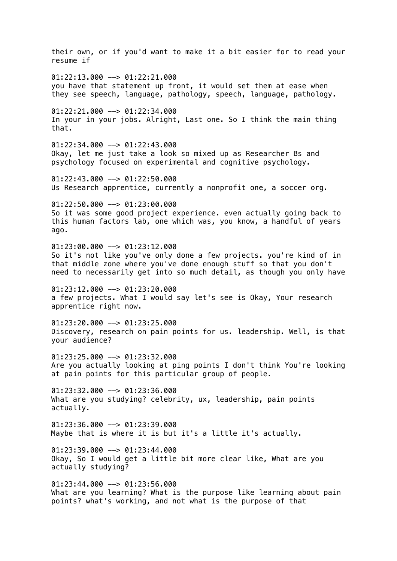their own, or if you'd want to make it a bit easier for to read your resume if  $01:22:13.000$  -->  $01:22:21.000$ you have that statement up front, it would set them at ease when they see speech, language, pathology, speech, language, pathology.  $01:22:21.000$  -->  $01:22:34.000$ In your in your jobs. Alright, Last one. So I think the main thing that.  $01:22:34.000$  -->  $01:22:43.000$ Okay, let me just take a look so mixed up as Researcher Bs and psychology focused on experimental and cognitive psychology.  $01:22:43.000$  -->  $01:22:50.000$ Us Research apprentice, currently a nonprofit one, a soccer org. 01:22:50.000 --> 01:23:00.000 So it was some good project experience. even actually going back to this human factors lab, one which was, you know, a handful of years ago.  $01:23:00.000$  -->  $01:23:12.000$ So it's not like you've only done a few projects. you're kind of in that middle zone where you've done enough stuff so that you don't need to necessarily get into so much detail, as though you only have  $01:23:12.000$  -->  $01:23:20.000$ a few projects. What I would say let's see is Okay, Your research apprentice right now. 01:23:20.000 --> 01:23:25.000 Discovery, research on pain points for us. leadership. Well, is that your audience?  $01:23:25.000$  -->  $01:23:32.000$ Are you actually looking at ping points I don't think You're looking at pain points for this particular group of people.  $01:23:32.000$  -->  $01:23:36.000$ What are you studying? celebrity, ux, leadership, pain points actually.  $01:23:36.000$  -->  $01:23:39.000$ Maybe that is where it is but it's a little it's actually.  $01:23:39.000$  -->  $01:23:44.000$ Okay, So I would get a little bit more clear like, What are you actually studying?  $01:23:44.000$  -->  $01:23:56.000$ What are you learning? What is the purpose like learning about pain points? what's working, and not what is the purpose of that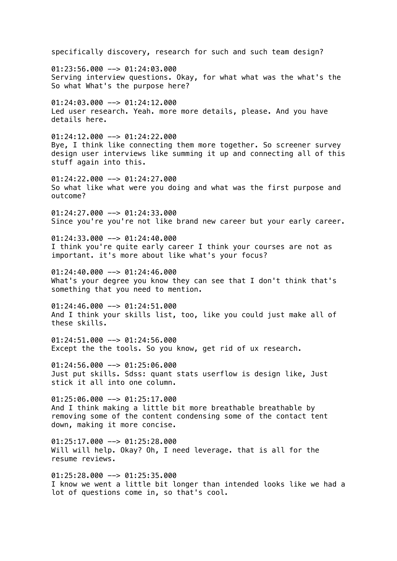specifically discovery, research for such and such team design? 01:23:56.000 --> 01:24:03.000 Serving interview questions. Okay, for what what was the what's the So what What's the purpose here?  $01:24:03.000$  -->  $01:24:12.000$ Led user research. Yeah. more more details, please. And you have details here.  $01:24:12.000$  -->  $01:24:22.000$ Bye, I think like connecting them more together. So screener survey design user interviews like summing it up and connecting all of this stuff again into this.  $01:24:22.000$  -->  $01:24:27.000$ So what like what were you doing and what was the first purpose and outcome?  $01:24:27.000$  -->  $01:24:33.000$ Since you're you're not like brand new career but your early career.  $01:24:33.000$  -->  $01:24:40.000$ I think you're quite early career I think your courses are not as important. it's more about like what's your focus?  $01:24:40.000$  -->  $01:24:46.000$ What's your degree you know they can see that I don't think that's something that you need to mention.  $01:24:46.000$  -->  $01:24:51.000$ And I think your skills list, too, like you could just make all of these skills.  $01:24:51.000$  -->  $01:24:56.000$ Except the the tools. So you know, get rid of ux research. 01:24:56.000 --> 01:25:06.000 Just put skills. Sdss: quant stats userflow is design like, Just stick it all into one column. 01:25:06.000 --> 01:25:17.000 And I think making a little bit more breathable breathable by removing some of the content condensing some of the contact tent down, making it more concise.  $01:25:17.000$  -->  $01:25:28.000$ Will will help. Okay? Oh, I need leverage. that is all for the resume reviews.  $01:25:28.000$  -->  $01:25:35.000$ I know we went a little bit longer than intended looks like we had a lot of questions come in, so that's cool.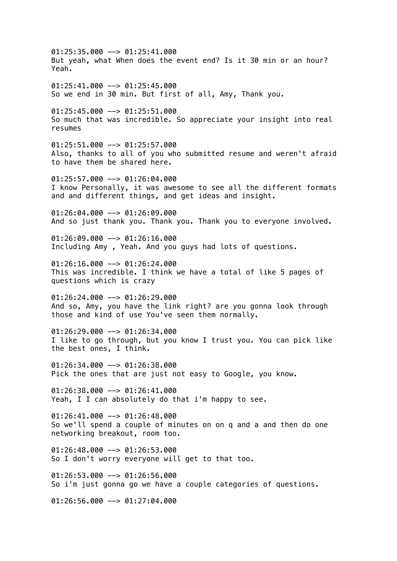$01:25:35.000$  -->  $01:25:41.000$ But yeah, what When does the event end? Is it 30 min or an hour? Yeah.  $01:25:41.000$  -->  $01:25:45.000$ So we end in 30 min. But first of all, Amy, Thank you. 01:25:45.000 --> 01:25:51.000 So much that was incredible. So appreciate your insight into real resumes  $01:25:51.000$  -->  $01:25:57.000$ Also, thanks to all of you who submitted resume and weren't afraid to have them be shared here.  $01:25:57.000$  -->  $01:26:04.000$ I know Personally, it was awesome to see all the different formats and and different things, and get ideas and insight.  $01:26:04.000$  -->  $01:26:09.000$ And so just thank you. Thank you. Thank you to everyone involved.  $01:26:09.000$  -->  $01:26:16.000$ Including Amy , Yeah. And you guys had lots of questions.  $01:26:16.000$  -->  $01:26:24.000$ This was incredible. I think we have a total of like 5 pages of questions which is crazy  $01:26:24.000$  -->  $01:26:29.000$ And so, Amy, you have the link right? are you gonna look through those and kind of use You've seen them normally.  $01:26:29.000$  -->  $01:26:34.000$ I like to go through, but you know I trust you. You can pick like the best ones, I think. 01:26:34.000 --> 01:26:38.000 Pick the ones that are just not easy to Google, you know.  $01:26:38.000$  -->  $01:26:41.000$ Yeah, I I can absolutely do that i'm happy to see.  $01:26:41.000$  -->  $01:26:48.000$ So we'll spend a couple of minutes on on q and a and then do one networking breakout, room too.  $01:26:48.000$  -->  $01:26:53.000$ So I don't worry everyone will get to that too. 01:26:53.000 --> 01:26:56.000 So i'm just gonna go we have a couple categories of questions.  $01:26:56.000$  -->  $01:27:04.000$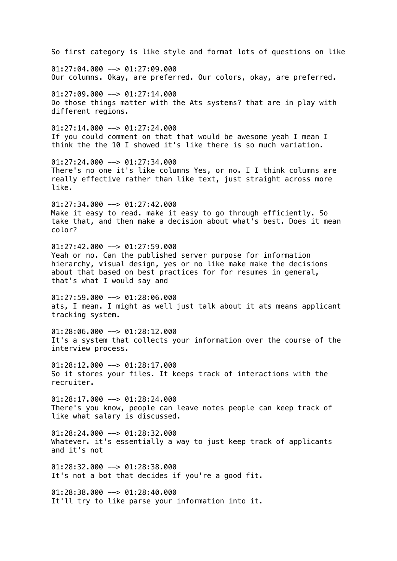So first category is like style and format lots of questions on like 01:27:04.000 --> 01:27:09.000 Our columns. Okay, are preferred. Our colors, okay, are preferred.  $01:27:09.000$  -->  $01:27:14.000$ Do those things matter with the Ats systems? that are in play with different regions.  $01:27:14.000$  -->  $01:27:24.000$ If you could comment on that that would be awesome yeah I mean I think the the 10 I showed it's like there is so much variation.  $01:27:24.000$  -->  $01:27:34.000$ There's no one it's like columns Yes, or no. I I think columns are really effective rather than like text, just straight across more like.  $01:27:34.000$  -->  $01:27:42.000$ Make it easy to read. make it easy to go through efficiently. So take that, and then make a decision about what's best. Does it mean color?  $01:27:42.000$  -->  $01:27:59.000$ Yeah or no. Can the published server purpose for information hierarchy, visual design, yes or no like make make the decisions about that based on best practices for for resumes in general, that's what I would say and  $01:27:59.000$  -->  $01:28:06.000$ ats, I mean. I might as well just talk about it ats means applicant tracking system.  $01:28:06.000$  -->  $01:28:12.000$ It's a system that collects your information over the course of the interview process.  $01:28:12.000$  -->  $01:28:17.000$ So it stores your files. It keeps track of interactions with the recruiter. 01:28:17.000 --> 01:28:24.000 There's you know, people can leave notes people can keep track of like what salary is discussed.  $01:28:24.000$  -->  $01:28:32.000$ Whatever. it's essentially a way to just keep track of applicants and it's not 01:28:32.000 --> 01:28:38.000 It's not a bot that decides if you're a good fit.  $01:28:38.000$  -->  $01:28:40.000$ It'll try to like parse your information into it.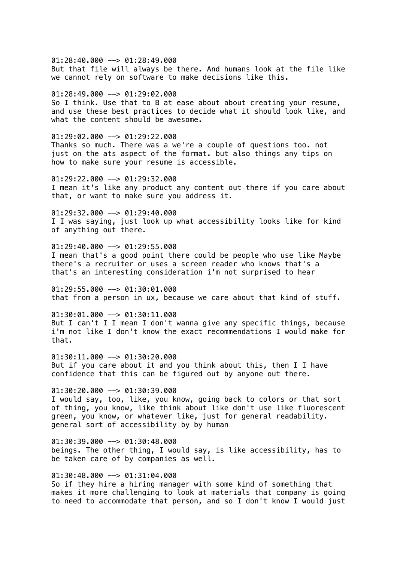01:28:40.000 --> 01:28:49.000 But that file will always be there. And humans look at the file like we cannot rely on software to make decisions like this.

 $01:28:49.000$  -->  $01:29:02.000$ 

So I think. Use that to B at ease about about creating your resume, and use these best practices to decide what it should look like, and what the content should be awesome.

 $01:29:02.000$  -->  $01:29:22.000$ Thanks so much. There was a we're a couple of questions too. not just on the ats aspect of the format. but also things any tips on how to make sure your resume is accessible.

 $01:29:22.000$  -->  $01:29:32.000$ I mean it's like any product any content out there if you care about that, or want to make sure you address it.

 $01:29:32.000$  -->  $01:29:40.000$ I I was saying, just look up what accessibility looks like for kind of anything out there.

 $01:29:40.000$  -->  $01:29:55.000$ I mean that's a good point there could be people who use like Maybe there's a recruiter or uses a screen reader who knows that's a that's an interesting consideration i'm not surprised to hear

 $01:29:55.000$  -->  $01:30:01.000$ that from a person in ux, because we care about that kind of stuff.

01:30:01.000 --> 01:30:11.000 But I can't I I mean I don't wanna give any specific things, because i'm not like I don't know the exact recommendations I would make for that.

01:30:11.000 --> 01:30:20.000 But if you care about it and you think about this, then I I have confidence that this can be figured out by anyone out there.

 $01:30:20.000$  -->  $01:30:39.000$ I would say, too, like, you know, going back to colors or that sort of thing, you know, like think about like don't use like fluorescent green, you know, or whatever like, just for general readability. general sort of accessibility by by human

 $01:30:39.000$  -->  $01:30:48.000$ beings. The other thing, I would say, is like accessibility, has to be taken care of by companies as well.

01:30:48.000 --> 01:31:04.000 So if they hire a hiring manager with some kind of something that makes it more challenging to look at materials that company is going to need to accommodate that person, and so I don't know I would just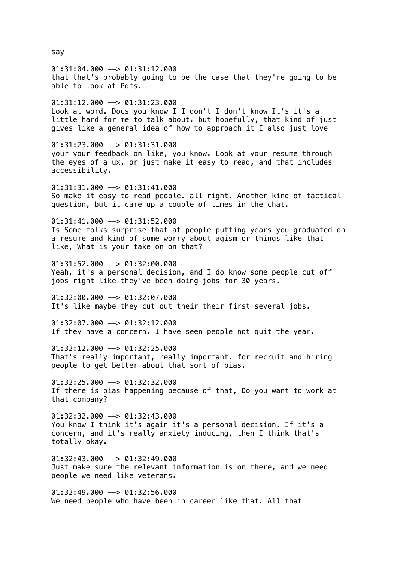01:31:04.000 --> 01:31:12.000 that that's probably going to be the case that they're going to be able to look at Pdfs.  $01:31:12.000$  -->  $01:31:23.000$ Look at word. Docs you know I I don't I don't know It's it's a little hard for me to talk about. but hopefully, that kind of just gives like a general idea of how to approach it I also just love 01:31:23.000 --> 01:31:31.000 your your feedback on like, you know. Look at your resume through the eyes of a ux, or just make it easy to read, and that includes accessibility.  $01:31:31.000$  -->  $01:31:41.000$ So make it easy to read people. all right. Another kind of tactical question, but it came up a couple of times in the chat.  $01:31:41.000$  -->  $01:31:52.000$ Is Some folks surprise that at people putting years you graduated on a resume and kind of some worry about agism or things like that like, What is your take on on that?  $01:31:52.000$  -->  $01:32:00.000$ Yeah, it's a personal decision, and I do know some people cut off jobs right like they've been doing jobs for 30 years. 01:32:00.000 --> 01:32:07.000 It's like maybe they cut out their their first several jobs. 01:32:07.000 --> 01:32:12.000 If they have a concern. I have seen people not quit the year.  $01:32:12.000$  -->  $01:32:25.000$ That's really important, really important. for recruit and hiring people to get better about that sort of bias. 01:32:25.000 --> 01:32:32.000 If there is bias happening because of that, Do you want to work at that company?  $01:32:32.000$  -->  $01:32:43.000$ You know I think it's again it's a personal decision. If it's a concern, and it's really anxiety inducing, then I think that's totally okay.  $01:32:43.000$  -->  $01:32:49.000$ Just make sure the relevant information is on there, and we need people we need like veterans.  $01:32:49.000$  -->  $01:32:56.000$ We need people who have been in career like that. All that

say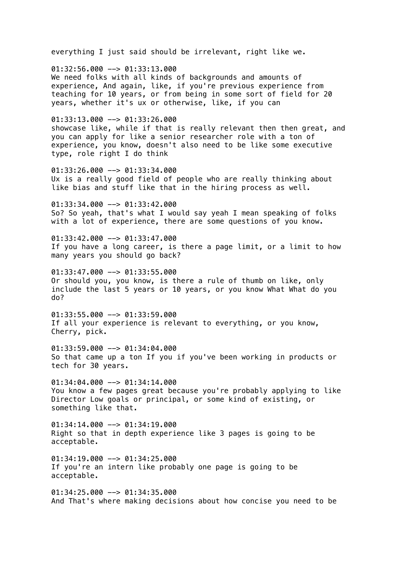everything I just said should be irrelevant, right like we. 01:32:56.000 --> 01:33:13.000 We need folks with all kinds of backgrounds and amounts of experience, And again, like, if you're previous experience from teaching for 10 years, or from being in some sort of field for 20 years, whether it's ux or otherwise, like, if you can 01:33:13.000 --> 01:33:26.000 showcase like, while if that is really relevant then then great, and you can apply for like a senior researcher role with a ton of experience, you know, doesn't also need to be like some executive type, role right I do think  $01:33:26.000$  -->  $01:33:34.000$ Ux is a really good field of people who are really thinking about like bias and stuff like that in the hiring process as well.  $01:33:34.000$  -->  $01:33:42.000$ So? So yeah, that's what I would say yeah I mean speaking of folks with a lot of experience, there are some questions of you know.  $01:33:42.000$  -->  $01:33:47.000$ If you have a long career, is there a page limit, or a limit to how many years you should go back? 01:33:47.000 --> 01:33:55.000 Or should you, you know, is there a rule of thumb on like, only include the last 5 years or 10 years, or you know What What do you do?  $01:33:55.000$  -->  $01:33:59.000$ If all your experience is relevant to everything, or you know, Cherry, pick.  $01:33:59.000$  -->  $01:34:04.000$ So that came up a ton If you if you've been working in products or tech for 30 years. 01:34:04.000 --> 01:34:14.000 You know a few pages great because you're probably applying to like Director Low goals or principal, or some kind of existing, or something like that.  $01:34:14.000$  -->  $01:34:19.000$ Right so that in depth experience like 3 pages is going to be acceptable.  $01:34:19.000$  -->  $01:34:25.000$ If you're an intern like probably one page is going to be acceptable.  $01:34:25.000$  -->  $01:34:35.000$ And That's where making decisions about how concise you need to be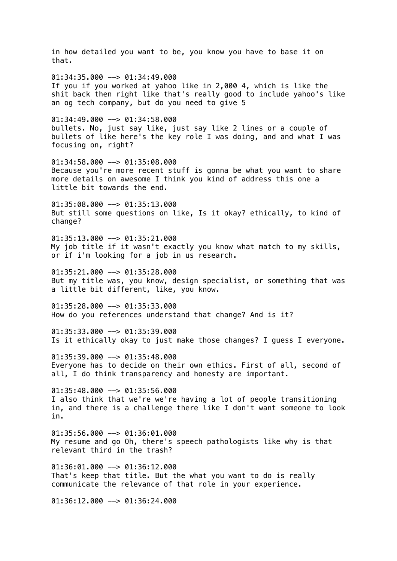in how detailed you want to be, you know you have to base it on that.  $01:34:35.000$  -->  $01:34:49.000$ If you if you worked at yahoo like in 2,000 4, which is like the shit back then right like that's really good to include yahoo's like an og tech company, but do you need to give 5 01:34:49.000 --> 01:34:58.000 bullets. No, just say like, just say like 2 lines or a couple of bullets of like here's the key role I was doing, and and what I was focusing on, right? 01:34:58.000 --> 01:35:08.000 Because you're more recent stuff is gonna be what you want to share more details on awesome I think you kind of address this one a little bit towards the end.  $01:35:08.000$  -->  $01:35:13.000$ But still some questions on like, Is it okay? ethically, to kind of change?  $01:35:13.000$  -->  $01:35:21.000$ My job title if it wasn't exactly you know what match to my skills, or if i'm looking for a job in us research. 01:35:21.000 --> 01:35:28.000 But my title was, you know, design specialist, or something that was a little bit different, like, you know. 01:35:28.000 --> 01:35:33.000 How do you references understand that change? And is it?  $01:35:33.000$  -->  $01:35:39.000$ Is it ethically okay to just make those changes? I guess I everyone. 01:35:39.000 --> 01:35:48.000 Everyone has to decide on their own ethics. First of all, second of all, I do think transparency and honesty are important.  $01:35:48.000$  -->  $01:35:56.000$ I also think that we're we're having a lot of people transitioning in, and there is a challenge there like I don't want someone to look in.  $01:35:56.000$  -->  $01:36:01.000$ My resume and go Oh, there's speech pathologists like why is that relevant third in the trash?  $01:36:01.000$  -->  $01:36:12.000$ That's keep that title. But the what you want to do is really communicate the relevance of that role in your experience.  $01:36:12.000$  -->  $01:36:24.000$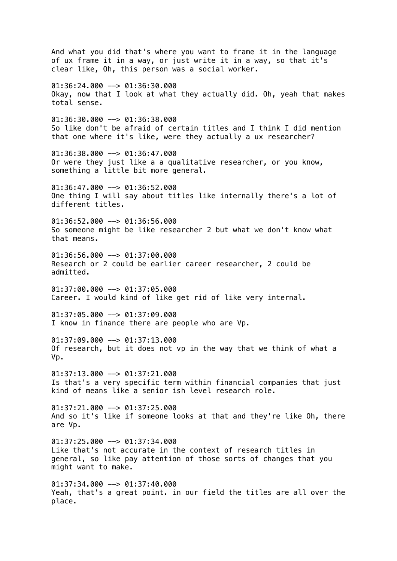And what you did that's where you want to frame it in the language of ux frame it in a way, or just write it in a way, so that it's clear like, Oh, this person was a social worker. 01:36:24.000 --> 01:36:30.000 Okay, now that I look at what they actually did. Oh, yeah that makes total sense.  $01:36:30.000$  -->  $01:36:38.000$ So like don't be afraid of certain titles and I think I did mention that one where it's like, were they actually a ux researcher? 01:36:38.000 --> 01:36:47.000 Or were they just like a a qualitative researcher, or you know, something a little bit more general.  $01:36:47.000$  -->  $01:36:52.000$ One thing I will say about titles like internally there's a lot of different titles.  $01:36:52.000$  -->  $01:36:56.000$ So someone might be like researcher 2 but what we don't know what that means. 01:36:56.000 --> 01:37:00.000 Research or 2 could be earlier career researcher, 2 could be admitted.  $01:37:00.000$  -->  $01:37:05.000$ Career. I would kind of like get rid of like very internal. 01:37:05.000 --> 01:37:09.000 I know in finance there are people who are Vp.  $01:37:09.000$  -->  $01:37:13.000$ Of research, but it does not vp in the way that we think of what a Vp.  $01:37:13.000$  -->  $01:37:21.000$ Is that's a very specific term within financial companies that just kind of means like a senior ish level research role.  $01:37:21.000$  -->  $01:37:25.000$ And so it's like if someone looks at that and they're like Oh, there are Vp.  $01:37:25.000$  -->  $01:37:34.000$ Like that's not accurate in the context of research titles in general, so like pay attention of those sorts of changes that you might want to make.  $01:37:34.000$  -->  $01:37:40.000$ Yeah, that's a great point. in our field the titles are all over the place.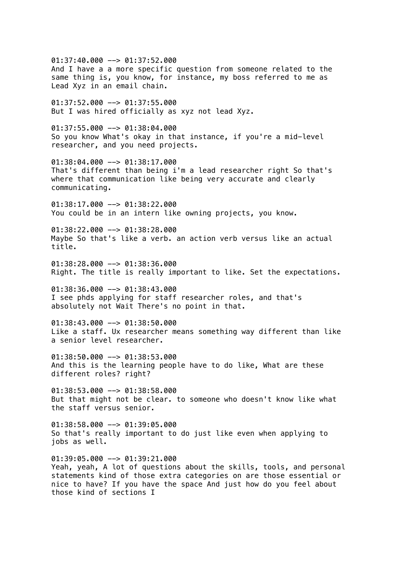01:37:40.000 --> 01:37:52.000 And I have a a more specific question from someone related to the same thing is, you know, for instance, my boss referred to me as Lead Xyz in an email chain.  $01:37:52.000$  -->  $01:37:55.000$ But I was hired officially as xyz not lead Xyz. 01:37:55.000 --> 01:38:04.000 So you know What's okay in that instance, if you're a mid-level researcher, and you need projects. 01:38:04.000 --> 01:38:17.000 That's different than being i'm a lead researcher right So that's where that communication like being very accurate and clearly communicating.  $01:38:17.000$  -->  $01:38:22.000$ You could be in an intern like owning projects, you know.  $01:38:22.000$  -->  $01:38:28.000$ Maybe So that's like a verb. an action verb versus like an actual title.  $01:38:28.000$  -->  $01:38:36.000$ Right. The title is really important to like. Set the expectations.  $01:38:36.000$  -->  $01:38:43.000$ I see phds applying for staff researcher roles, and that's absolutely not Wait There's no point in that. 01:38:43.000 --> 01:38:50.000 Like a staff. Ux researcher means something way different than like a senior level researcher. 01:38:50.000 --> 01:38:53.000 And this is the learning people have to do like, What are these different roles? right?  $01:38:53.000$  -->  $01:38:58.000$ But that might not be clear. to someone who doesn't know like what the staff versus senior.  $01:38:58.000$  -->  $01:39:05.000$ So that's really important to do just like even when applying to jobs as well.  $01:39:05.000$  -->  $01:39:21.000$ Yeah, yeah, A lot of questions about the skills, tools, and personal statements kind of those extra categories on are those essential or nice to have? If you have the space And just how do you feel about those kind of sections I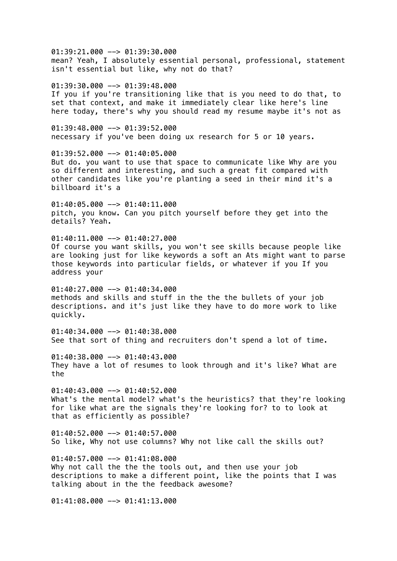01:39:21.000 --> 01:39:30.000 mean? Yeah, I absolutely essential personal, professional, statement isn't essential but like, why not do that? 01:39:30.000 --> 01:39:48.000 If you if you're transitioning like that is you need to do that, to set that context, and make it immediately clear like here's line here today, there's why you should read my resume maybe it's not as 01:39:48.000 --> 01:39:52.000 necessary if you've been doing ux research for 5 or 10 years. 01:39:52.000 --> 01:40:05.000 But do. you want to use that space to communicate like Why are you so different and interesting, and such a great fit compared with other candidates like you're planting a seed in their mind it's a billboard it's a  $01:40:05.000$  -->  $01:40:11.000$ pitch, you know. Can you pitch yourself before they get into the details? Yeah.  $01:40:11.000$  -->  $01:40:27.000$ Of course you want skills, you won't see skills because people like are looking just for like keywords a soft an Ats might want to parse those keywords into particular fields, or whatever if you If you address your  $01:40:27.000$  -->  $01:40:34.000$ methods and skills and stuff in the the the bullets of your job descriptions. and it's just like they have to do more work to like quickly.  $01:40:34.000$  -->  $01:40:38.000$ See that sort of thing and recruiters don't spend a lot of time. 01:40:38.000 --> 01:40:43.000 They have a lot of resumes to look through and it's like? What are the  $01:40:43.000$  -->  $01:40:52.000$ What's the mental model? what's the heuristics? that they're looking for like what are the signals they're looking for? to to look at that as efficiently as possible?  $01:40:52.000$  -->  $01:40:57.000$ So like, Why not use columns? Why not like call the skills out?  $01:40:57.000$  -->  $01:41:08.000$ Why not call the the the tools out, and then use your job descriptions to make a different point, like the points that I was talking about in the the feedback awesome?  $01:41:08.000$  -->  $01:41:13.000$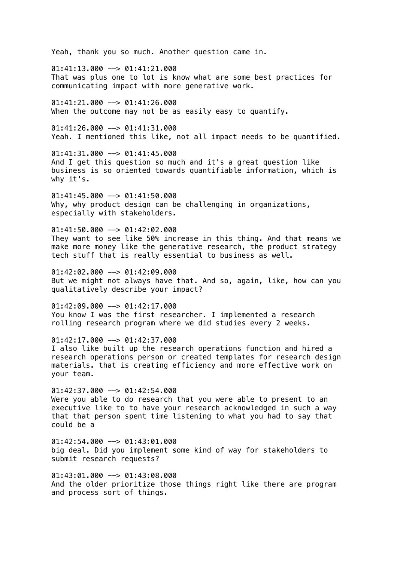Yeah, thank you so much. Another question came in.

 $01:41:13.000$  -->  $01:41:21.000$ That was plus one to lot is know what are some best practices for communicating impact with more generative work.

 $01:41:21.000$  -->  $01:41:26.000$ When the outcome may not be as easily easy to quantify.

01:41:26.000 --> 01:41:31.000 Yeah. I mentioned this like, not all impact needs to be quantified.

 $01:41:31.000$  -->  $01:41:45.000$ And I get this question so much and it's a great question like business is so oriented towards quantifiable information, which is why it's.

 $01:41:45.000$  -->  $01:41:50.000$ Why, why product design can be challenging in organizations, especially with stakeholders.

 $01:41:50.000$  -->  $01:42:02.000$ They want to see like 50% increase in this thing. And that means we make more money like the generative research, the product strategy tech stuff that is really essential to business as well.

 $01:42:02.000$  -->  $01:42:09.000$ But we might not always have that. And so, again, like, how can you qualitatively describe your impact?

 $01:42:09.000$  -->  $01:42:17.000$ You know I was the first researcher. I implemented a research rolling research program where we did studies every 2 weeks.

 $01:42:17.000$  -->  $01:42:37.000$ I also like built up the research operations function and hired a research operations person or created templates for research design materials. that is creating efficiency and more effective work on your team.

 $01:42:37.000$  -->  $01:42:54.000$ Were you able to do research that you were able to present to an executive like to to have your research acknowledged in such a way that that person spent time listening to what you had to say that could be a

 $01:42:54.000$  -->  $01:43:01.000$ big deal. Did you implement some kind of way for stakeholders to submit research requests?

01:43:01.000 --> 01:43:08.000 And the older prioritize those things right like there are program and process sort of things.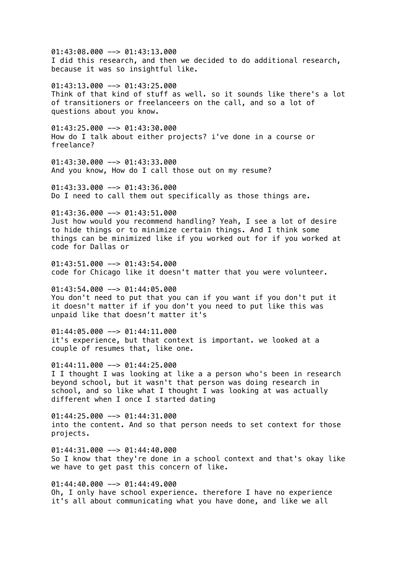$01:43:08.000$  -->  $01:43:13.000$ I did this research, and then we decided to do additional research, because it was so insightful like.

 $01:43:13.000$  -->  $01:43:25.000$ Think of that kind of stuff as well. so it sounds like there's a lot of transitioners or freelanceers on the call, and so a lot of questions about you know.

01:43:25.000 --> 01:43:30.000 How do I talk about either projects? i've done in a course or freelance?

01:43:30.000 --> 01:43:33.000 And you know, How do I call those out on my resume?

 $01:43:33.000$  -->  $01:43:36.000$ Do I need to call them out specifically as those things are.

 $01:43:36.000$  -->  $01:43:51.000$ 

Just how would you recommend handling? Yeah, I see a lot of desire to hide things or to minimize certain things. And I think some things can be minimized like if you worked out for if you worked at code for Dallas or

 $01:43:51.000$  -->  $01:43:54.000$ code for Chicago like it doesn't matter that you were volunteer.

 $01:43:54.000$  -->  $01:44:05.000$ You don't need to put that you can if you want if you don't put it it doesn't matter if if you don't you need to put like this was unpaid like that doesn't matter it's

 $01:44:05.000$  -->  $01:44:11.000$ it's experience, but that context is important. we looked at a couple of resumes that, like one.

01:44:11.000 --> 01:44:25.000 I I thought I was looking at like a a person who's been in research beyond school, but it wasn't that person was doing research in school, and so like what I thought I was looking at was actually different when I once I started dating

 $01:44:25.000$  -->  $01:44:31.000$ into the content. And so that person needs to set context for those projects.

 $01:44:31.000$  -->  $01:44:40.000$ So I know that they're done in a school context and that's okay like we have to get past this concern of like.

 $01:44:40.000$  -->  $01:44:49.000$ Oh, I only have school experience. therefore I have no experience it's all about communicating what you have done, and like we all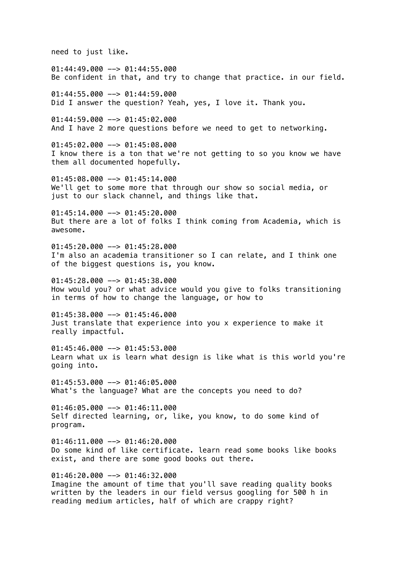need to just like.

01:44:49.000 --> 01:44:55.000 Be confident in that, and try to change that practice. in our field. 01:44:55.000 --> 01:44:59.000 Did I answer the question? Yeah, yes, I love it. Thank you.  $01:44:59.000$  -->  $01:45:02.000$ And I have 2 more questions before we need to get to networking. 01:45:02.000 --> 01:45:08.000 I know there is a ton that we're not getting to so you know we have them all documented hopefully.  $01:45:08.000$  -->  $01:45:14.000$ We'll get to some more that through our show so social media, or just to our slack channel, and things like that.

 $01:45:14.000$  -->  $01:45:20.000$ But there are a lot of folks I think coming from Academia, which is awesome.

 $01:45:20.000$  -->  $01:45:28.000$ I'm also an academia transitioner so I can relate, and I think one of the biggest questions is, you know.

01:45:28.000 --> 01:45:38.000 How would you? or what advice would you give to folks transitioning in terms of how to change the language, or how to

 $01:45:38.000$  -->  $01:45:46.000$ Just translate that experience into you x experience to make it really impactful.

 $01:45:46.000$  -->  $01:45:53.000$ Learn what ux is learn what design is like what is this world you're going into.

01:45:53.000 --> 01:46:05.000 What's the language? What are the concepts you need to do?

 $01:46:05.000$  -->  $01:46:11.000$ Self directed learning, or, like, you know, to do some kind of program.

 $01:46:11.000$  -->  $01:46:20.000$ Do some kind of like certificate. learn read some books like books exist, and there are some good books out there.

01:46:20.000 --> 01:46:32.000 Imagine the amount of time that you'll save reading quality books written by the leaders in our field versus googling for 500 h in reading medium articles, half of which are crappy right?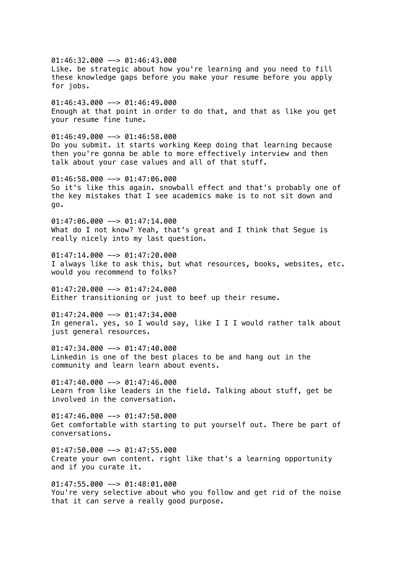01:46:32.000 --> 01:46:43.000 Like. be strategic about how you're learning and you need to fill these knowledge gaps before you make your resume before you apply for jobs.  $01:46:43.000$  -->  $01:46:49.000$ Enough at that point in order to do that, and that as like you get your resume fine tune.  $01:46:49.000$  -->  $01:46:58.000$ Do you submit. it starts working Keep doing that learning because then you're gonna be able to more effectively interview and then talk about your case values and all of that stuff.  $01:46:58.000$  -->  $01:47:06.000$ So it's like this again. snowball effect and that's probably one of the key mistakes that I see academics make is to not sit down and go. 01:47:06.000 --> 01:47:14.000 What do I not know? Yeah, that's great and I think that Seque is really nicely into my last question.  $01:47:14.000$  -->  $01:47:20.000$ I always like to ask this, but what resources, books, websites, etc. would you recommend to folks?  $01:47:20.000$  -->  $01:47:24.000$ Either transitioning or just to beef up their resume.  $01:47:24.000$  -->  $01:47:34.000$ In general. yes, so I would say, like I I I would rather talk about just general resources.  $01:47:34.000$  -->  $01:47:40.000$ Linkedin is one of the best places to be and hang out in the community and learn learn about events.  $01:47:40.000$  -->  $01:47:46.000$ Learn from like leaders in the field. Talking about stuff, get be involved in the conversation.  $01:47:46.000$  -->  $01:47:50.000$ Get comfortable with starting to put yourself out. There be part of conversations.  $01:47:50.000$  -->  $01:47:55.000$ Create your own content. right like that's a learning opportunity and if you curate it.  $01:47:55.000$  -->  $01:48:01.000$ You're very selective about who you follow and get rid of the noise that it can serve a really good purpose.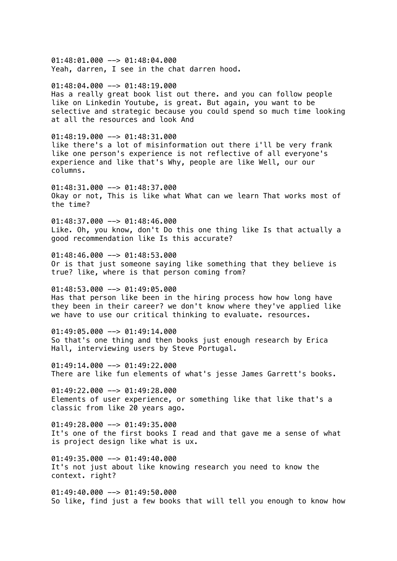01:48:01.000 --> 01:48:04.000 Yeah, darren, I see in the chat darren hood.  $01:48:04.000$  -->  $01:48:19.000$ Has a really great book list out there. and you can follow people like on Linkedin Youtube, is great. But again, you want to be selective and strategic because you could spend so much time looking at all the resources and look And  $01:48:19.000$  -->  $01:48:31.000$ like there's a lot of misinformation out there i'll be very frank like one person's experience is not reflective of all everyone's experience and like that's Why, people are like Well, our our columns.  $01:48:31.000$  -->  $01:48:37.000$ Okay or not, This is like what What can we learn That works most of the time?  $01:48:37.000$  -->  $01:48:46.000$ Like. Oh, you know, don't Do this one thing like Is that actually a good recommendation like Is this accurate? 01:48:46.000 --> 01:48:53.000 Or is that just someone saying like something that they believe is true? like, where is that person coming from?  $01:48:53.000$  -->  $01:49:05.000$ Has that person like been in the hiring process how how long have they been in their career? we don't know where they've applied like we have to use our critical thinking to evaluate. resources. 01:49:05.000 --> 01:49:14.000 So that's one thing and then books just enough research by Erica Hall, interviewing users by Steve Portugal.  $01:49:14.000$  -->  $01:49:22.000$ There are like fun elements of what's jesse James Garrett's books.  $01:49:22.000$  -->  $01:49:28.000$ Elements of user experience, or something like that like that's a classic from like 20 years ago.  $01:49:28.000$  -->  $01:49:35.000$ It's one of the first books I read and that gave me a sense of what is project design like what is ux.  $01:49:35.000$  -->  $01:49:40.000$ It's not just about like knowing research you need to know the context. right?

 $01:49:40.000$  -->  $01:49:50.000$ So like, find just a few books that will tell you enough to know how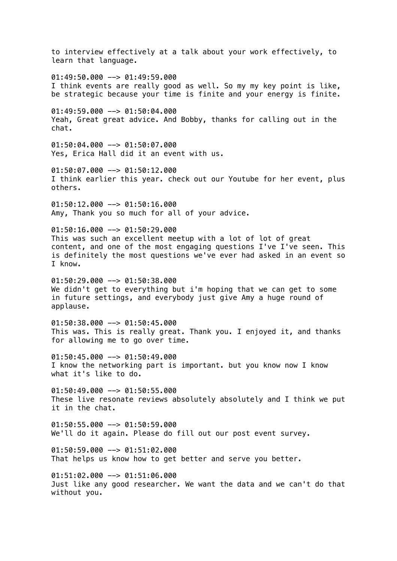to interview effectively at a talk about your work effectively, to learn that language.

 $01:49:50.000$  -->  $01:49:59.000$ I think events are really good as well. So my my key point is like, be strategic because your time is finite and your energy is finite.

01:49:59.000 --> 01:50:04.000 Yeah, Great great advice. And Bobby, thanks for calling out in the chat.

01:50:04.000 --> 01:50:07.000 Yes, Erica Hall did it an event with us.

01:50:07.000 --> 01:50:12.000 I think earlier this year. check out our Youtube for her event, plus others.

 $01:50:12.000$  -->  $01:50:16.000$ Amy, Thank you so much for all of your advice.

 $01:50:16.000$  -->  $01:50:29.000$ This was such an excellent meetup with a lot of lot of great content, and one of the most engaging questions I've I've seen. This is definitely the most questions we've ever had asked in an event so I know.

01:50:29.000 --> 01:50:38.000 We didn't get to everything but i'm hoping that we can get to some in future settings, and everybody just give Amy a huge round of applause.

01:50:38.000 --> 01:50:45.000 This was. This is really great. Thank you. I enjoyed it, and thanks for allowing me to go over time.

01:50:45.000 --> 01:50:49.000 I know the networking part is important. but you know now I know what it's like to do.

 $01:50:49.000$  -->  $01:50:55.000$ These live resonate reviews absolutely absolutely and I think we put it in the chat.

 $01:50:55.000$  -->  $01:50:59.000$ We'll do it again. Please do fill out our post event survey.

 $01:50:59.000$  -->  $01:51:02.000$ That helps us know how to get better and serve you better.

01:51:02.000 --> 01:51:06.000 Just like any good researcher. We want the data and we can't do that without you.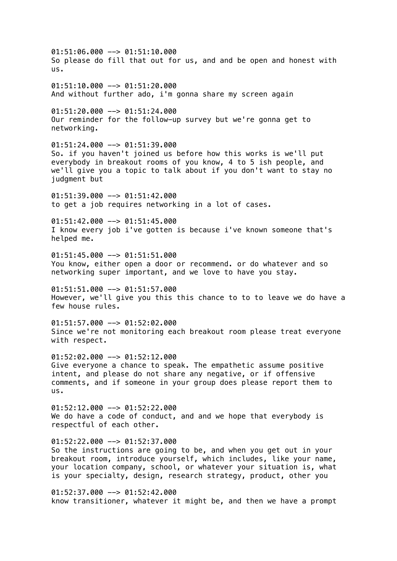$01:51:06.000$  -->  $01:51:10.000$ So please do fill that out for us, and and be open and honest with us.  $01:51:10.000$  -->  $01:51:20.000$ And without further ado, i'm gonna share my screen again 01:51:20.000 --> 01:51:24.000 Our reminder for the follow-up survey but we're gonna get to networking. 01:51:24.000 --> 01:51:39.000 So. if you haven't joined us before how this works is we'll put everybody in breakout rooms of you know, 4 to 5 ish people, and we'll give you a topic to talk about if you don't want to stay no judgment but  $01:51:39.000$  -->  $01:51:42.000$ to get a job requires networking in a lot of cases.  $01:51:42.000$  -->  $01:51:45.000$ I know every job i've gotten is because i've known someone that's helped me. 01:51:45.000 --> 01:51:51.000 You know, either open a door or recommend. or do whatever and so networking super important, and we love to have you stay.  $01:51:51.000$  -->  $01:51:57.000$ However, we'll give you this this chance to to to leave we do have a few house rules.  $01:51:57.000$  -->  $01:52:02.000$ Since we're not monitoring each breakout room please treat everyone with respect. 01:52:02.000 --> 01:52:12.000 Give everyone a chance to speak. The empathetic assume positive intent, and please do not share any negative, or if offensive comments, and if someone in your group does please report them to us.  $01:52:12.000$  -->  $01:52:22.000$ We do have a code of conduct, and and we hope that everybody is respectful of each other.  $01:52:22.000$  -->  $01:52:37.000$ So the instructions are going to be, and when you get out in your breakout room, introduce yourself, which includes, like your name, your location company, school, or whatever your situation is, what is your specialty, design, research strategy, product, other you  $01:52:37.000$  -->  $01:52:42.000$ know transitioner, whatever it might be, and then we have a prompt